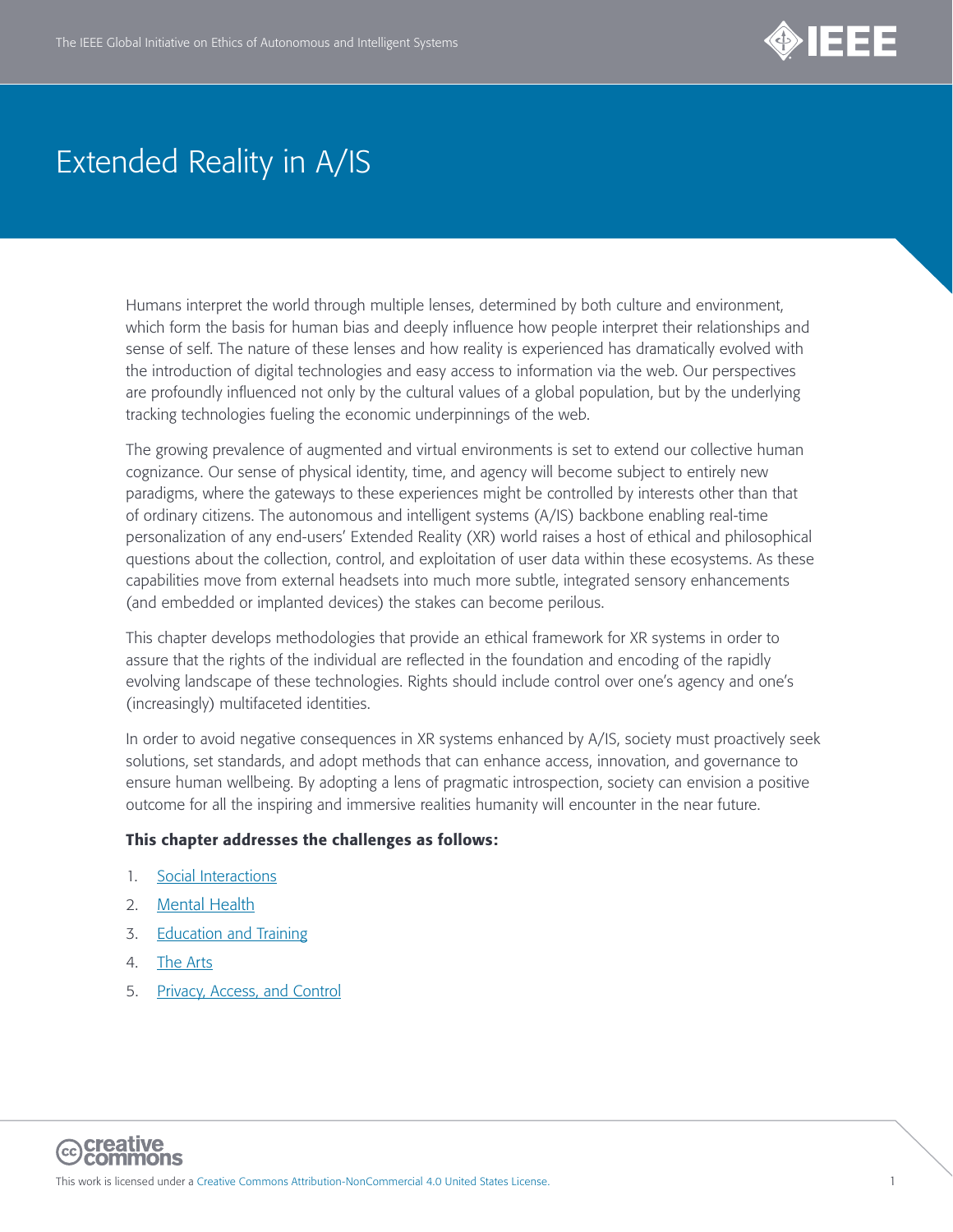

Humans interpret the world through multiple lenses, determined by both culture and environment, which form the basis for human bias and deeply influence how people interpret their relationships and sense of self. The nature of these lenses and how reality is experienced has dramatically evolved with the introduction of digital technologies and easy access to information via the web. Our perspectives are profoundly influenced not only by the cultural values of a global population, but by the underlying tracking technologies fueling the economic underpinnings of the web.

The growing prevalence of augmented and virtual environments is set to extend our collective human cognizance. Our sense of physical identity, time, and agency will become subject to entirely new paradigms, where the gateways to these experiences might be controlled by interests other than that of ordinary citizens. The autonomous and intelligent systems (A/IS) backbone enabling real-time personalization of any end-users' Extended Reality (XR) world raises a host of ethical and philosophical questions about the collection, control, and exploitation of user data within these ecosystems. As these capabilities move from external headsets into much more subtle, integrated sensory enhancements (and embedded or implanted devices) the stakes can become perilous.

This chapter develops methodologies that provide an ethical framework for XR systems in order to assure that the rights of the individual are reflected in the foundation and encoding of the rapidly evolving landscape of these technologies. Rights should include control over one's agency and one's (increasingly) multifaceted identities.

In order to avoid negative consequences in XR systems enhanced by A/IS, society must proactively seek solutions, set standards, and adopt methods that can enhance access, innovation, and governance to ensure human wellbeing. By adopting a lens of pragmatic introspection, society can envision a positive outcome for all the inspiring and immersive realities humanity will encounter in the near future.

#### This chapter addresses the challenges as follows:

- 1. [Social Interactions](#page-1-0)
- 2. [Mental Health](#page-8-0)
- 3. [Education and Training](#page-17-0)
- 4. [The Arts](#page-20-0)
- 5. [Privacy, Access, and Control](#page-23-0)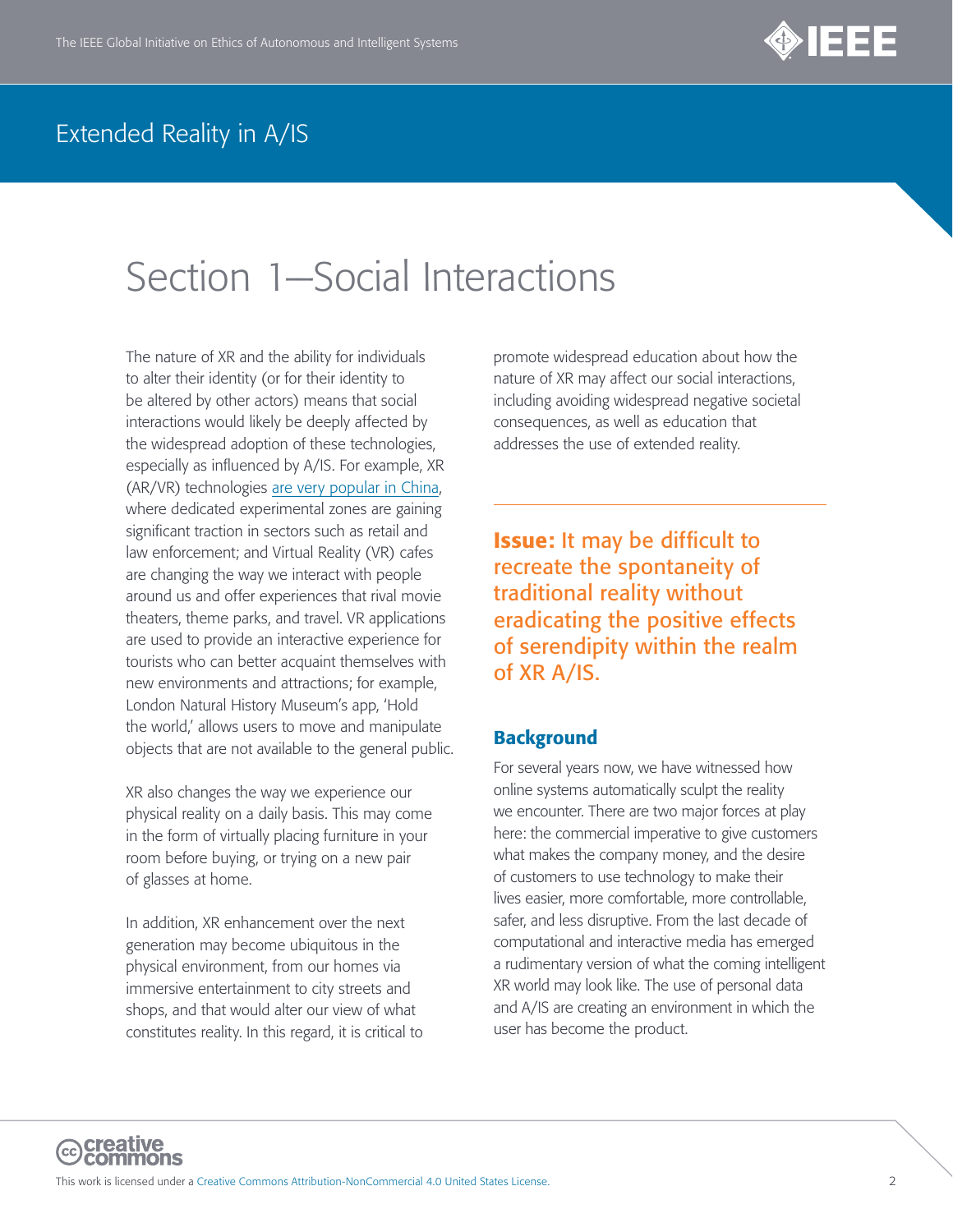

# <span id="page-1-0"></span>Section 1—Social Interactions

The nature of XR and the ability for individuals to alter their identity (or for their identity to be altered by other actors) means that social interactions would likely be deeply affected by the widespread adoption of these technologies, especially as influenced by A/IS. For example, XR (AR/VR) technologies [are very popular in China](https://www.scmp.com/tech/gear/article/3015591/chinas-virtual-reality-market-set-expand-driven-increased-policy-support), where dedicated experimental zones are gaining significant traction in sectors such as retail and law enforcement; and Virtual Reality (VR) cafes are changing the way we interact with people around us and offer experiences that rival movie theaters, theme parks, and travel. VR applications are used to provide an interactive experience for tourists who can better acquaint themselves with new environments and attractions; for example, London Natural History Museum's app, 'Hold the world,' allows users to move and manipulate objects that are not available to the general public.

XR also changes the way we experience our physical reality on a daily basis. This may come in the form of virtually placing furniture in your room before buying, or trying on a new pair of glasses at home.

In addition, XR enhancement over the next generation may become ubiquitous in the physical environment, from our homes via immersive entertainment to city streets and shops, and that would alter our view of what constitutes reality. In this regard, it is critical to promote widespread education about how the nature of XR may affect our social interactions, including avoiding widespread negative societal consequences, as well as education that addresses the use of extended reality.

Issue: It may be difficult to recreate the spontaneity of traditional reality without eradicating the positive effects of serendipity within the realm of XR A/IS.

#### **Background**

For several years now, we have witnessed how online systems automatically sculpt the reality we encounter. There are two major forces at play here: the commercial imperative to give customers what makes the company money, and the desire of customers to use technology to make their lives easier, more comfortable, more controllable, safer, and less disruptive. From the last decade of computational and interactive media has emerged a rudimentary version of what the coming intelligent XR world may look like. The use of personal data and A/IS are creating an environment in which the user has become the product.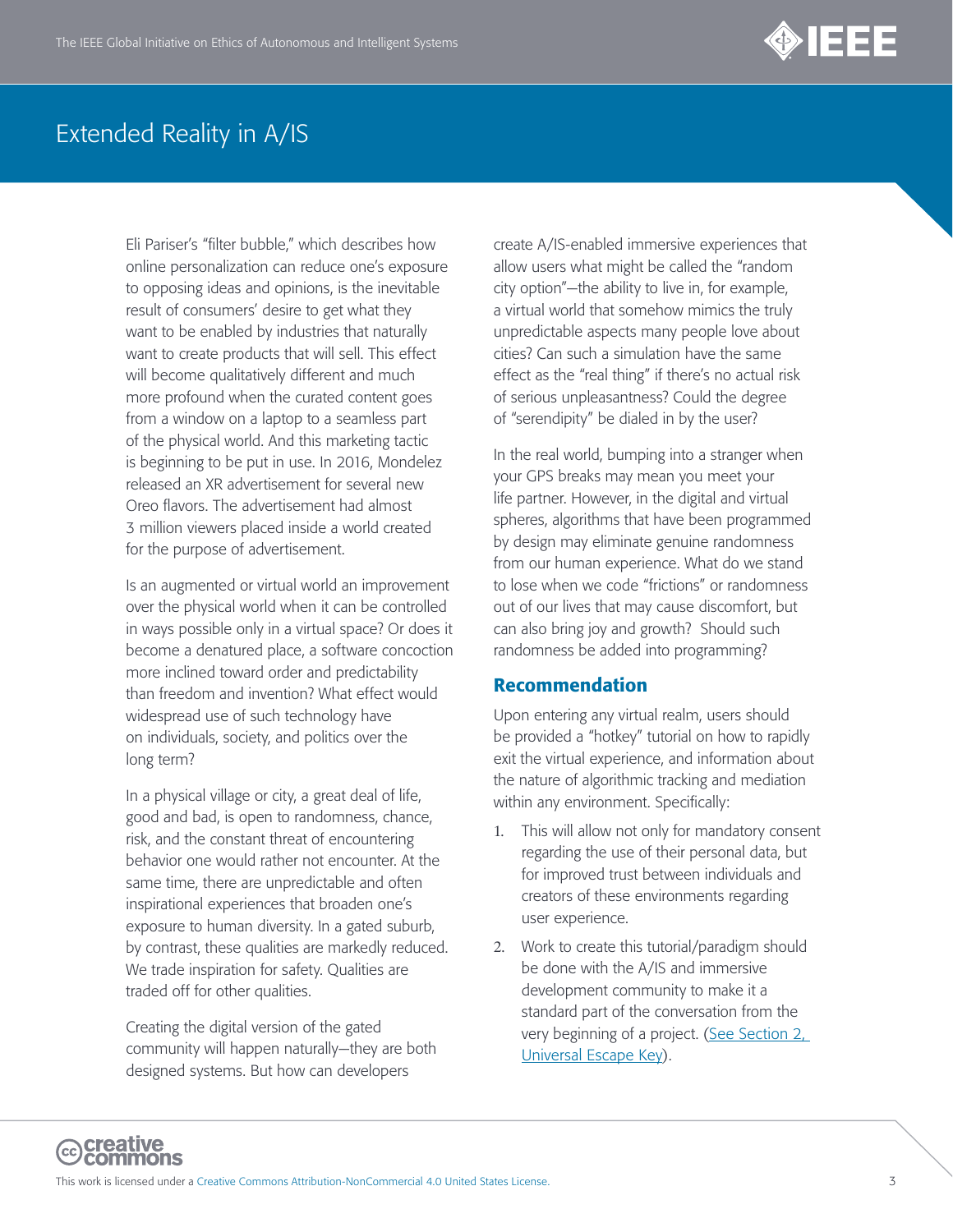

Eli Pariser's "filter bubble," which describes how online personalization can reduce one's exposure to opposing ideas and opinions, is the inevitable result of consumers' desire to get what they want to be enabled by industries that naturally want to create products that will sell. This effect will become qualitatively different and much more profound when the curated content goes from a window on a laptop to a seamless part of the physical world. And this marketing tactic is beginning to be put in use. In 2016, Mondelez released an XR advertisement for several new Oreo flavors. The advertisement had almost 3 million viewers placed inside a world created for the purpose of advertisement.

Is an augmented or virtual world an improvement over the physical world when it can be controlled in ways possible only in a virtual space? Or does it become a denatured place, a software concoction more inclined toward order and predictability than freedom and invention? What effect would widespread use of such technology have on individuals, society, and politics over the long term?

In a physical village or city, a great deal of life, good and bad, is open to randomness, chance, risk, and the constant threat of encountering behavior one would rather not encounter. At the same time, there are unpredictable and often inspirational experiences that broaden one's exposure to human diversity. In a gated suburb, by contrast, these qualities are markedly reduced. We trade inspiration for safety. Qualities are traded off for other qualities.

Creating the digital version of the gated community will happen naturally—they are both designed systems. But how can developers

create A/IS-enabled immersive experiences that allow users what might be called the "random city option"—the ability to live in, for example, a virtual world that somehow mimics the truly unpredictable aspects many people love about cities? Can such a simulation have the same effect as the "real thing" if there's no actual risk of serious unpleasantness? Could the degree of "serendipity" be dialed in by the user?

In the real world, bumping into a stranger when your GPS breaks may mean you meet your life partner. However, in the digital and virtual spheres, algorithms that have been programmed by design may eliminate genuine randomness from our human experience. What do we stand to lose when we code "frictions" or randomness out of our lives that may cause discomfort, but can also bring joy and growth? Should such randomness be added into programming?

#### Recommendation

Upon entering any virtual realm, users should be provided a "hotkey" tutorial on how to rapidly exit the virtual experience, and information about the nature of algorithmic tracking and mediation within any environment. Specifically:

- 1. This will allow not only for mandatory consent regarding the use of their personal data, but for improved trust between individuals and creators of these environments regarding user experience.
- 2. Work to create this tutorial/paradigm should be done with the A/IS and immersive development community to make it a standard part of the conversation from the very beginning of a project. (See Section 2, [Universal Escape Key\)](#page-13-0).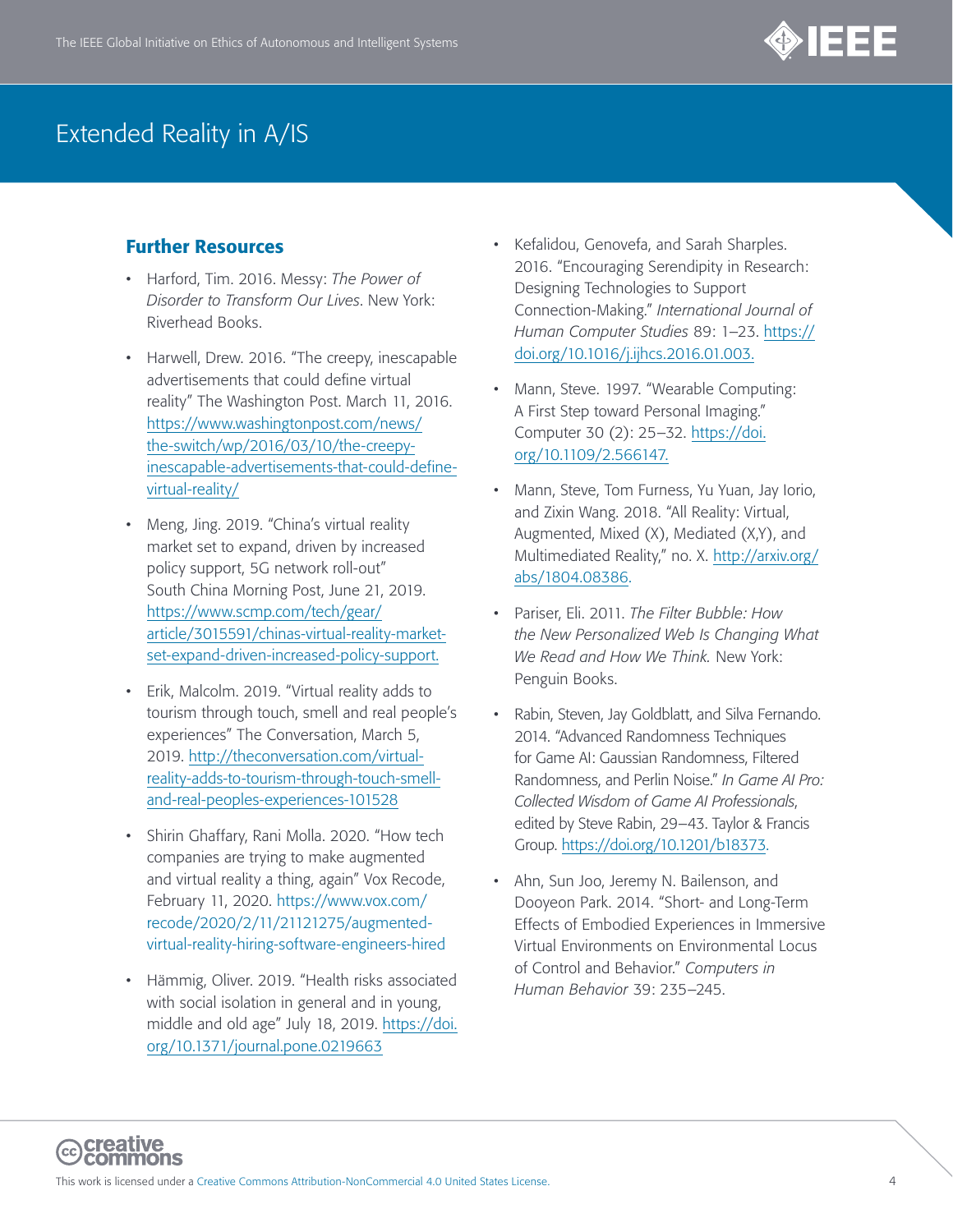

- Harford, Tim. 2016. Messy: *The Power of Disorder to Transform Our Lives*. New York: Riverhead Books.
- Harwell, Drew. 2016. "The creepy, inescapable advertisements that could define virtual reality" The Washington Post. March 11, 2016. [https://www.washingtonpost.com/news/](https://www.washingtonpost.com/news/the-switch/wp/2016/03/10/the-creepy-inescapable-advertisements-that-could-define-virtual-reality/) [the-switch/wp/2016/03/10/the-creepy](https://www.washingtonpost.com/news/the-switch/wp/2016/03/10/the-creepy-inescapable-advertisements-that-could-define-virtual-reality/)[inescapable-advertisements-that-could-define](https://www.washingtonpost.com/news/the-switch/wp/2016/03/10/the-creepy-inescapable-advertisements-that-could-define-virtual-reality/)[virtual-reality/](https://www.washingtonpost.com/news/the-switch/wp/2016/03/10/the-creepy-inescapable-advertisements-that-could-define-virtual-reality/)
- Meng, Jing. 2019. "China's virtual reality market set to expand, driven by increased policy support, 5G network roll-out" South China Morning Post, June 21, 2019. [https://www.scmp.com/tech/gear/](https://www.scmp.com/tech/gear/article/3015591/chinas-virtual-reality-market-set-expand-driven-increased-policy-support) [article/3015591/chinas-virtual-reality-market](https://www.scmp.com/tech/gear/article/3015591/chinas-virtual-reality-market-set-expand-driven-increased-policy-support)[set-expand-driven-increased-policy-support](https://www.scmp.com/tech/gear/article/3015591/chinas-virtual-reality-market-set-expand-driven-increased-policy-support).
- Erik, Malcolm. 2019. "Virtual reality adds to tourism through touch, smell and real people's experiences" The Conversation, March 5, 2019. [http://theconversation.com/virtual](http://theconversation.com/virtual-reality-adds-to-tourism-through-touch-smell-and-real-peoples-experiences-101528)[reality-adds-to-tourism-through-touch-smell](http://theconversation.com/virtual-reality-adds-to-tourism-through-touch-smell-and-real-peoples-experiences-101528)[and-real-peoples-experiences-101528](http://theconversation.com/virtual-reality-adds-to-tourism-through-touch-smell-and-real-peoples-experiences-101528)
- Shirin Ghaffary, Rani Molla. 2020. "How tech companies are trying to make augmented and virtual reality a thing, again" Vox Recode, February 11, 2020. [https://www.vox.com/](https://www.vox.com/recode/2020/2/11/21121275/augmented-virtual-reality-hiring-software-engineers-hired) [recode/2020/2/11/21121275/augmented](https://www.vox.com/recode/2020/2/11/21121275/augmented-virtual-reality-hiring-software-engineers-hired)[virtual-reality-hiring-software-engineers-hired](https://www.vox.com/recode/2020/2/11/21121275/augmented-virtual-reality-hiring-software-engineers-hired)
- Hämmig, Oliver. 2019. "Health risks associated with social isolation in general and in young, middle and old age" July 18, 2019. [https://doi.](https://doi.org/10.1371/journal.pone.0219663) [org/10.1371/journal.pone.0219663](https://doi.org/10.1371/journal.pone.0219663)
- Kefalidou, Genovefa, and Sarah Sharples. 2016. "Encouraging Serendipity in Research: Designing Technologies to Support Connection-Making." *International Journal of Human Computer Studies* 89: 1–23. [https://](https://doi.org/10.1016/j.ijhcs.2016.01.003) [doi.org/10.1016/j.ijhcs.2016.01.003.](https://doi.org/10.1016/j.ijhcs.2016.01.003)
- Mann, Steve. 1997. "Wearable Computing: A First Step toward Personal Imaging." Computer 30 (2): 25–32. [https://doi.](https://doi.org/10.1109/2.566147) [org/10.1109/2.566147.](https://doi.org/10.1109/2.566147)
- Mann, Steve, Tom Furness, Yu Yuan, Jay Iorio, and Zixin Wang. 2018. "All Reality: Virtual, Augmented, Mixed (X), Mediated (X,Y), and Multimediated Reality," no. X. [http://arxiv.org/](http://arxiv.org/abs/1804.08386) [abs/1804.08386](http://arxiv.org/abs/1804.08386).
- Pariser, Eli. 2011. *The Filter Bubble: How the New Personalized Web Is Changing What We Read and How We Think.* New York: Penguin Books.
- Rabin, Steven, Jay Goldblatt, and Silva Fernando. 2014. "Advanced Randomness Techniques for Game AI: Gaussian Randomness, Filtered Randomness, and Perlin Noise." *In Game AI Pro: Collected Wisdom of Game AI Professionals*, edited by Steve Rabin, 29–43. Taylor & Francis Group.<https://doi.org/10.1201/b18373>.
- Ahn, Sun Joo, Jeremy N. Bailenson, and Dooyeon Park. 2014. "Short- and Long-Term Effects of Embodied Experiences in Immersive Virtual Environments on Environmental Locus of Control and Behavior." *Computers in Human Behavior* 39: 235–245.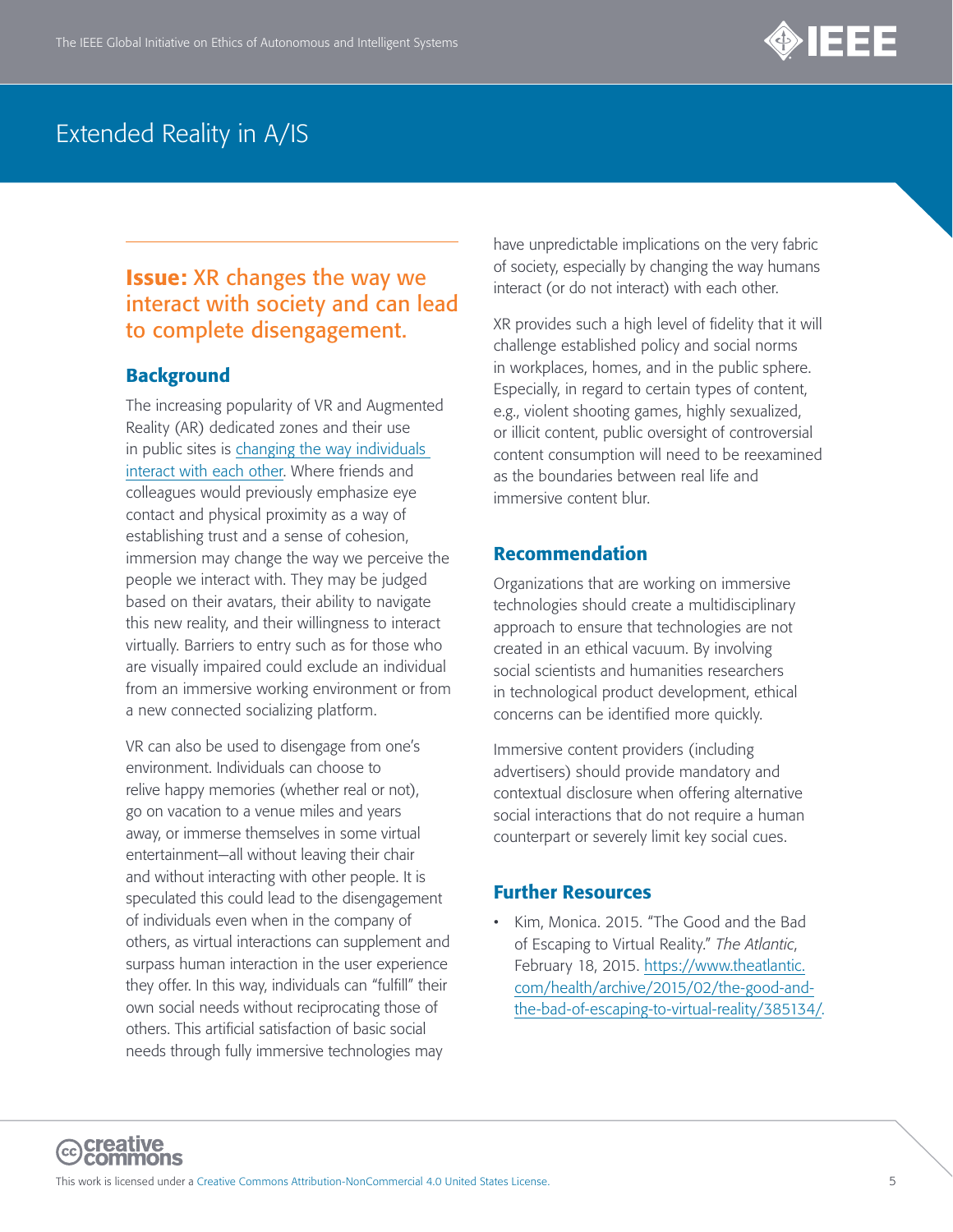

### **Issue:** XR changes the way we interact with society and can lead to complete disengagement.

#### **Background**

The increasing popularity of VR and Augmented Reality (AR) dedicated zones and their use in public sites is [changing the way individuals](https://arstechnica.com/science/2019/05/augmented-reality-changes-how-people-interact-and-communicate-study-finds/)  [interact with each other.](https://arstechnica.com/science/2019/05/augmented-reality-changes-how-people-interact-and-communicate-study-finds/) Where friends and colleagues would previously emphasize eye contact and physical proximity as a way of establishing trust and a sense of cohesion, immersion may change the way we perceive the people we interact with. They may be judged based on their avatars, their ability to navigate this new reality, and their willingness to interact virtually. Barriers to entry such as for those who are visually impaired could exclude an individual from an immersive working environment or from a new connected socializing platform.

VR can also be used to disengage from one's environment. Individuals can choose to relive happy memories (whether real or not), go on vacation to a venue miles and years away, or immerse themselves in some virtual entertainment—all without leaving their chair and without interacting with other people. It is speculated this could lead to the disengagement of individuals even when in the company of others, as virtual interactions can supplement and surpass human interaction in the user experience they offer. In this way, individuals can "fulfill" their own social needs without reciprocating those of others. This artificial satisfaction of basic social needs through fully immersive technologies may

have unpredictable implications on the very fabric of society, especially by changing the way humans interact (or do not interact) with each other.

XR provides such a high level of fidelity that it will challenge established policy and social norms in workplaces, homes, and in the public sphere. Especially, in regard to certain types of content, e.g., violent shooting games, highly sexualized, or illicit content, public oversight of controversial content consumption will need to be reexamined as the boundaries between real life and immersive content blur.

#### Recommendation

Organizations that are working on immersive technologies should create a multidisciplinary approach to ensure that technologies are not created in an ethical vacuum. By involving social scientists and humanities researchers in technological product development, ethical concerns can be identified more quickly.

Immersive content providers (including advertisers) should provide mandatory and contextual disclosure when offering alternative social interactions that do not require a human counterpart or severely limit key social cues.

#### Further Resources

• Kim, Monica. 2015. "The Good and the Bad of Escaping to Virtual Reality." *The Atlantic*, February 18, 2015. [https://www.theatlantic.](https://www.theatlantic.com/health/archive/2015/02/the-good-and-the-bad-of-escaping-to-virtual-reality/385134/) [com/health/archive/2015/02/the-good-and](https://www.theatlantic.com/health/archive/2015/02/the-good-and-the-bad-of-escaping-to-virtual-reality/385134/)[the-bad-of-escaping-to-virtual-reality/385134/.](https://www.theatlantic.com/health/archive/2015/02/the-good-and-the-bad-of-escaping-to-virtual-reality/385134/)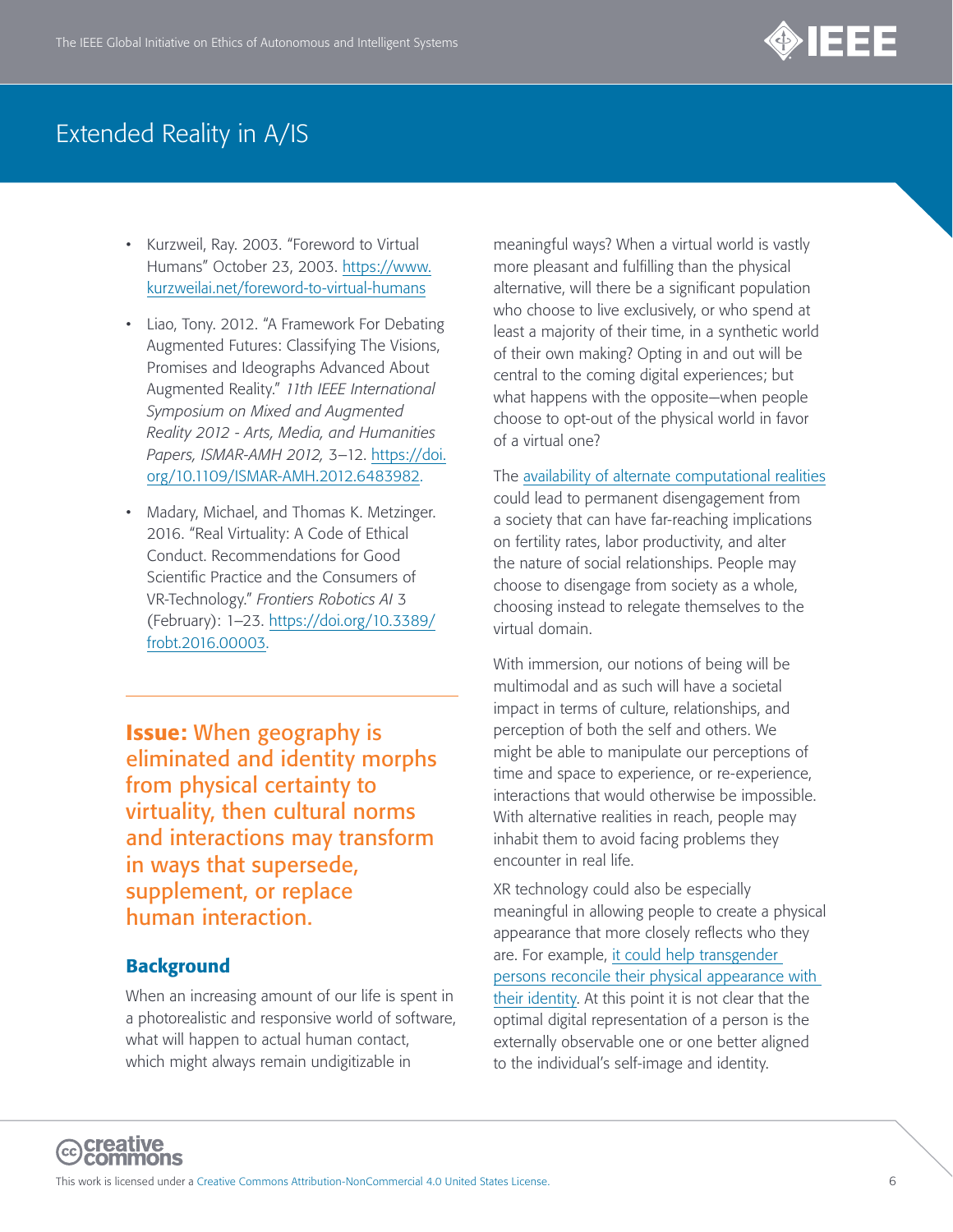

- Kurzweil, Ray. 2003. "Foreword to Virtual Humans" October 23, 2003. [https://www.](https://www.kurzweilai.net/foreword-to-virtual-humans) [kurzweilai.net/foreword-to-virtual-humans](https://www.kurzweilai.net/foreword-to-virtual-humans)
- Liao, Tony. 2012. "A Framework For Debating Augmented Futures: Classifying The Visions, Promises and Ideographs Advanced About Augmented Reality." *11th IEEE International Symposium on Mixed and Augmented Reality 2012 - Arts, Media, and Humanities Papers, ISMAR-AMH 2012,* 3–12. [https://doi.](https://doi.org/10.1109/ISMAR-AMH.2012.6483982) [org/10.1109/ISMAR-AMH.2012.6483982.](https://doi.org/10.1109/ISMAR-AMH.2012.6483982)
- Madary, Michael, and Thomas K. Metzinger. 2016. "Real Virtuality: A Code of Ethical Conduct. Recommendations for Good Scientific Practice and the Consumers of VR-Technology." *Frontiers Robotics AI* 3 (February): 1–23. [https://doi.org/10.3389/](https://doi.org/10.3389/frobt.2016.00003) [frobt.2016.00003.](https://doi.org/10.3389/frobt.2016.00003)

Issue: When geography is eliminated and identity morphs from physical certainty to virtuality, then cultural norms and interactions may transform in ways that supersede, supplement, or replace human interaction.

#### **Background**

When an increasing amount of our life is spent in a photorealistic and responsive world of software, what will happen to actual human contact, which might always remain undigitizable in

meaningful ways? When a virtual world is vastly more pleasant and fulfilling than the physical alternative, will there be a significant population who choose to live exclusively, or who spend at least a majority of their time, in a synthetic world of their own making? Opting in and out will be central to the coming digital experiences; but what happens with the opposite—when people choose to opt-out of the physical world in favor of a virtual one?

The [availability of alternate computational realities](https://www.zdnet.com/article/ar-and-vr-are-about-to-change-the-way-you-work-so-get-ready/) could lead to permanent disengagement from a society that can have far-reaching implications on fertility rates, labor productivity, and alter the nature of social relationships. People may choose to disengage from society as a whole, choosing instead to relegate themselves to the virtual domain.

With immersion, our notions of being will be multimodal and as such will have a societal impact in terms of culture, relationships, and perception of both the self and others. We might be able to manipulate our perceptions of time and space to experience, or re-experience, interactions that would otherwise be impossible. With alternative realities in reach, people may inhabit them to avoid facing problems they encounter in real life.

XR technology could also be especially meaningful in allowing people to create a physical appearance that more closely reflects who they are. For example, [it could help transgender](https://academic.oup.com/jcmc/article/19/4/824/4067546)  [persons reconcile their physical appearance with](https://academic.oup.com/jcmc/article/19/4/824/4067546)  [their identity.](https://academic.oup.com/jcmc/article/19/4/824/4067546) At this point it is not clear that the optimal digital representation of a person is the externally observable one or one better aligned to the individual's self-image and identity.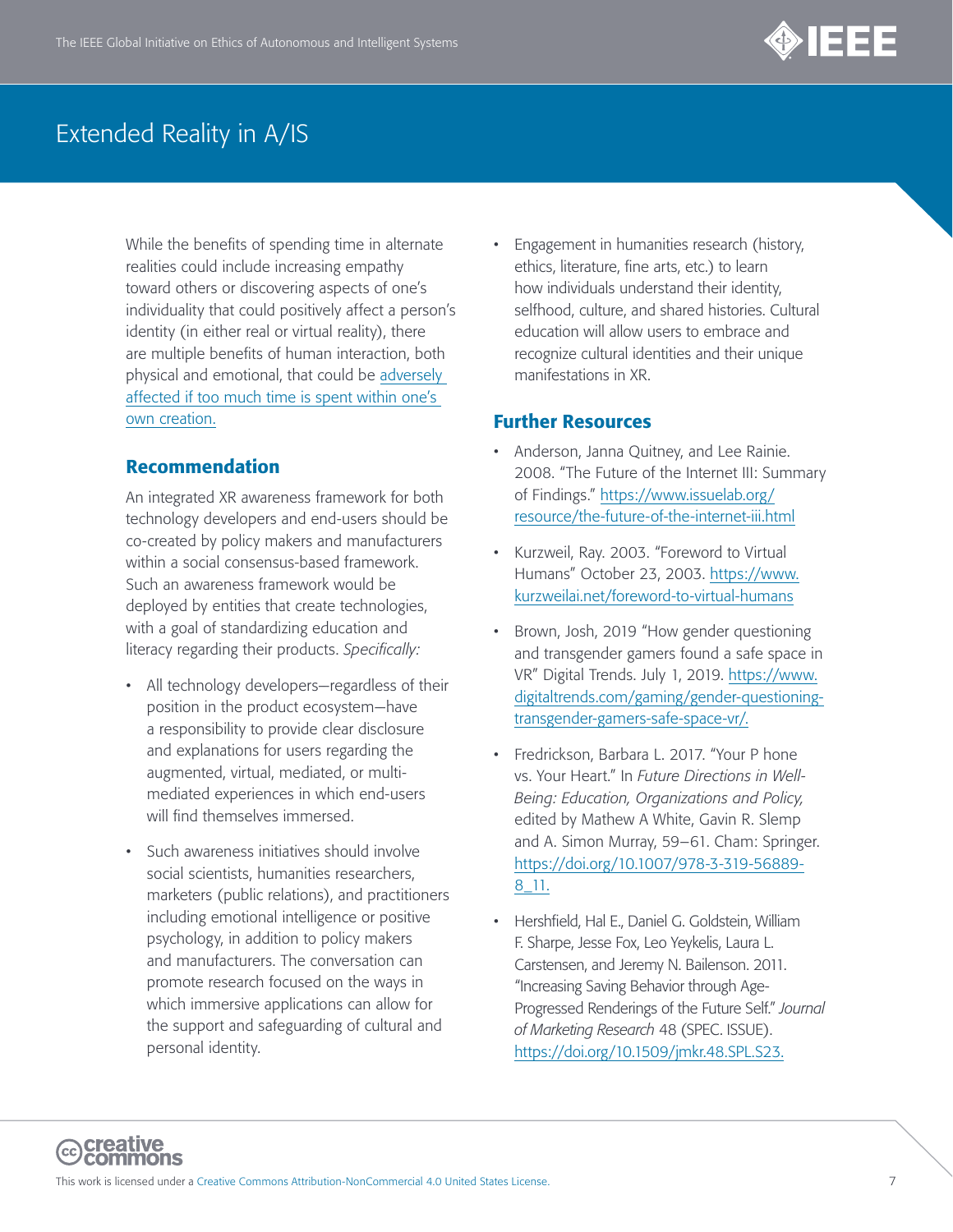

While the benefits of spending time in alternate realities could include increasing empathy toward others or discovering aspects of one's individuality that could positively affect a person's identity (in either real or virtual reality), there are multiple benefits of human interaction, both physical and emotional, that could be [adversely](https://www.cnbc.com/2016/01/08/virtual-reality-are-health-risks-being-ignored-commentary.html)  [affected if too much time is spent within one's](https://www.cnbc.com/2016/01/08/virtual-reality-are-health-risks-being-ignored-commentary.html)  [own creation.](https://www.cnbc.com/2016/01/08/virtual-reality-are-health-risks-being-ignored-commentary.html)

#### Recommendation

An integrated XR awareness framework for both technology developers and end-users should be co-created by policy makers and manufacturers within a social consensus-based framework. Such an awareness framework would be deployed by entities that create technologies, with a goal of standardizing education and literacy regarding their products. *Specifically:*

- All technology developers—regardless of their position in the product ecosystem—have a responsibility to provide clear disclosure and explanations for users regarding the augmented, virtual, mediated, or multimediated experiences in which end-users will find themselves immersed.
- Such awareness initiatives should involve social scientists, humanities researchers, marketers (public relations), and practitioners including emotional intelligence or positive psychology, in addition to policy makers and manufacturers. The conversation can promote research focused on the ways in which immersive applications can allow for the support and safeguarding of cultural and personal identity.

• Engagement in humanities research (history, ethics, literature, fine arts, etc.) to learn how individuals understand their identity, selfhood, culture, and shared histories. Cultural education will allow users to embrace and recognize cultural identities and their unique manifestations in XR.

- Anderson, Janna Quitney, and Lee Rainie. 2008. "The Future of the Internet III: Summary of Findings." [https://www.issuelab.org/](https://www.issuelab.org/resource/the-future-of-the-internet-iii.html) [resource/the-future-of-the-internet-iii.html](https://www.issuelab.org/resource/the-future-of-the-internet-iii.html)
- Kurzweil, Ray. 2003. "Foreword to Virtual Humans" October 23, 2003. [https://www.](https://www.kurzweilai.net/foreword-to-virtual-humans) [kurzweilai.net/foreword-to-virtual-humans](https://www.kurzweilai.net/foreword-to-virtual-humans)
- Brown, Josh, 2019 "How gender questioning and transgender gamers found a safe space in VR" Digital Trends. July 1, 2019. [https://www.](https://www.digitaltrends.com/gaming/gender-questioning-transgender-gamers-safe-space-vr/) [digitaltrends.com/gaming/gender-questioning](https://www.digitaltrends.com/gaming/gender-questioning-transgender-gamers-safe-space-vr/)[transgender-gamers-safe-space-vr/.](https://www.digitaltrends.com/gaming/gender-questioning-transgender-gamers-safe-space-vr/)
- Fredrickson, Barbara L. 2017. "Your P hone vs. Your Heart." In *Future Directions in Well-Being: Education, Organizations and Policy,* edited by Mathew A White, Gavin R. Slemp and A. Simon Murray, 59–61. Cham: Springer. [https://doi.org/10.1007/978-3-319-56889-](https://doi.org/10.1007/978-3-319-56889-8_11) [8\\_11](https://doi.org/10.1007/978-3-319-56889-8_11).
- Hershfield, Hal E., Daniel G. Goldstein, William F. Sharpe, Jesse Fox, Leo Yeykelis, Laura L. Carstensen, and Jeremy N. Bailenson. 2011. "Increasing Saving Behavior through Age-Progressed Renderings of the Future Self." *Journal of Marketing Research* 48 (SPEC. ISSUE). [https://doi.org/10.1509/jmkr.48.SPL.S23.](https://doi.org/10.1509/jmkr.48.SPL.S23)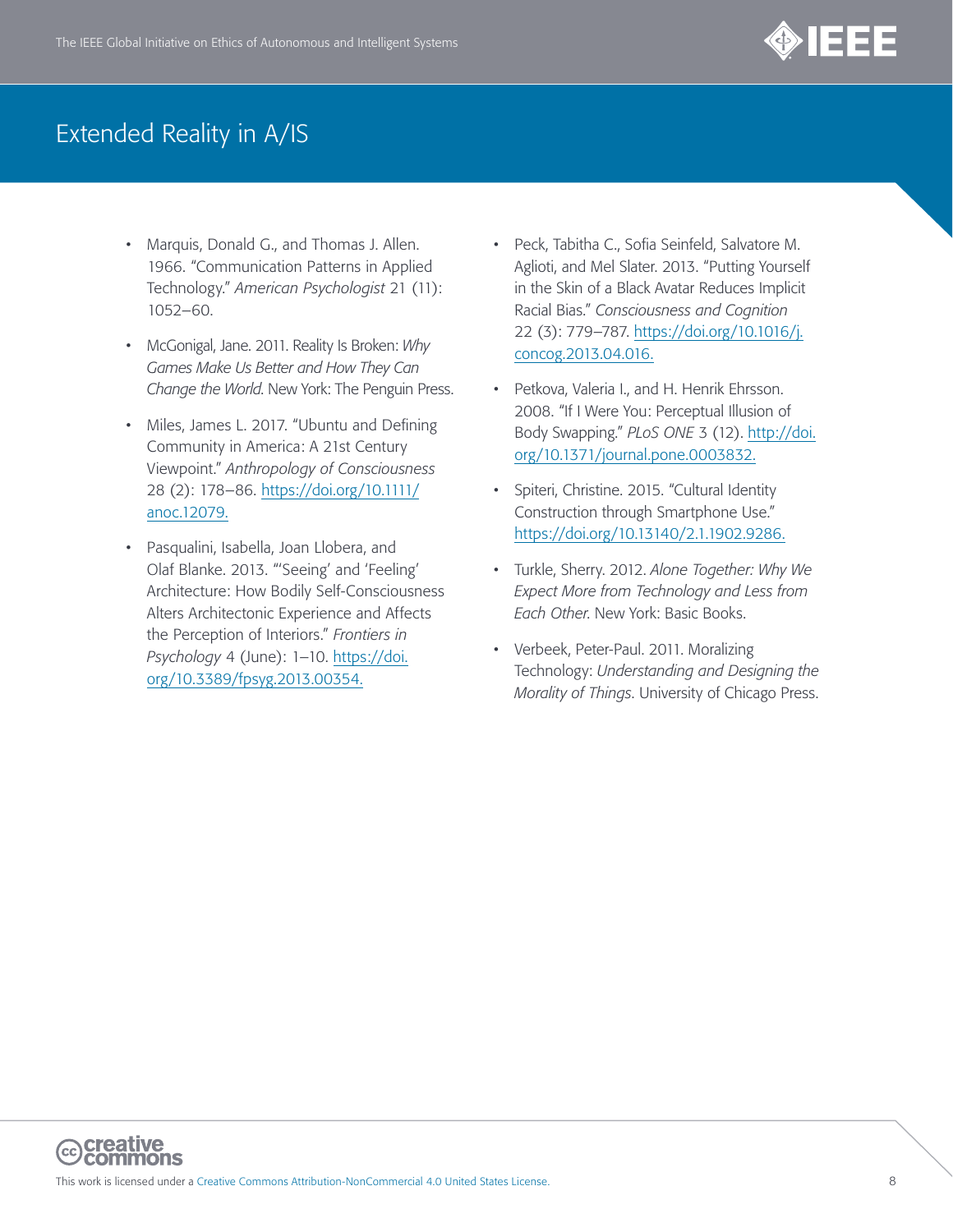

- Marquis, Donald G., and Thomas J. Allen. 1966. "Communication Patterns in Applied Technology." *American Psychologist* 21 (11): 1052–60.
- McGonigal, Jane. 2011. Reality Is Broken: *Why Games Make Us Better and How They Can Change the World*. New York: The Penguin Press.
- Miles, James L. 2017. "Ubuntu and Defining Community in America: A 21st Century Viewpoint." *Anthropology of Consciousness* 28 (2): 178–86. [https://doi.org/10.1111/](https://doi.org/10.1111/anoc.12079) [anoc.12079.](https://doi.org/10.1111/anoc.12079)
- Pasqualini, Isabella, Joan Llobera, and Olaf Blanke. 2013. "'Seeing' and 'Feeling' Architecture: How Bodily Self-Consciousness Alters Architectonic Experience and Affects the Perception of Interiors." *Frontiers in Psychology* 4 (June): 1–10. [https://doi.](https://doi.org/10.3389/fpsyg.2013.00354) [org/10.3389/fpsyg.2013.00354](https://doi.org/10.3389/fpsyg.2013.00354).
- Peck, Tabitha C., Sofia Seinfeld, Salvatore M. Aglioti, and Mel Slater. 2013. "Putting Yourself in the Skin of a Black Avatar Reduces Implicit Racial Bias." *Consciousness and Cognition* 22 (3): 779–787. [https://doi.org/10.1016/j.](https://doi.org/10.1016/j.concog.2013.04.016) [concog.2013.04.016.](https://doi.org/10.1016/j.concog.2013.04.016)
- Petkova, Valeria I., and H. Henrik Ehrsson. 2008. "If I Were You: Perceptual Illusion of Body Swapping." *PLoS ONE* 3 (12). [http://doi.](https://doi.org/10.1371/journal.pone.0003832) [org/10.1371/journal.pone.0003832.](https://doi.org/10.1371/journal.pone.0003832)
- Spiteri, Christine. 2015. "Cultural Identity Construction through Smartphone Use." [https://doi.org/10.13140/2.1.1902.9286.](https://doi.org/10.13140/2.1.1902.9286)
- Turkle, Sherry. 2012. *Alone Together: Why We Expect More from Technology and Less from Each Other*. New York: Basic Books.
- Verbeek, Peter-Paul. 2011. Moralizing Technology: *Understanding and Designing the Morality of Things*. University of Chicago Press.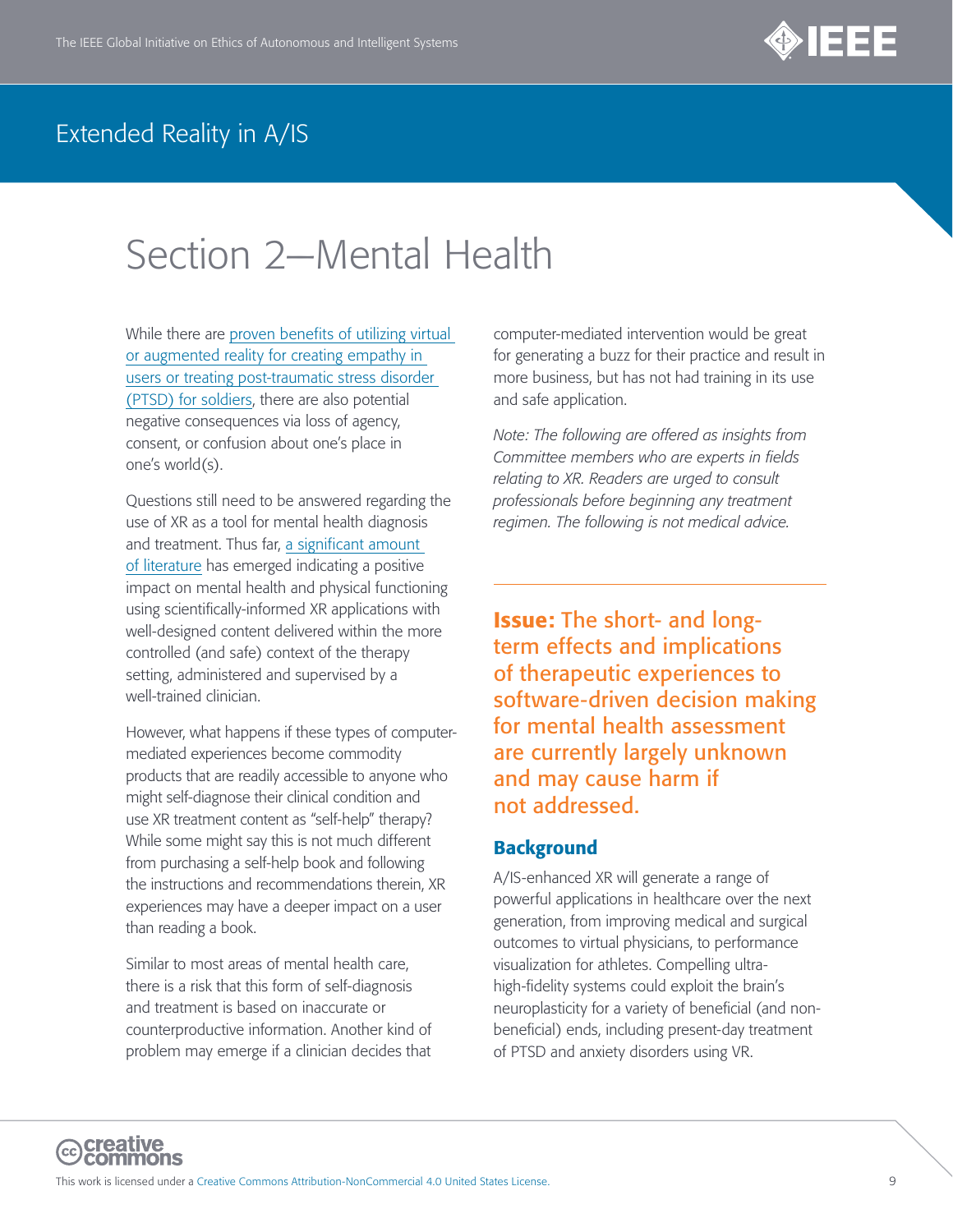

# <span id="page-8-0"></span>Section 2—Mental Health

While there are [proven benefits of utilizing virtual](https://www.nbcnews.com/mach/innovation/how-virtual-reality-helping-heal-soldiers-ptsd-n733816)  [or augmented reality for creating empathy in](https://www.nbcnews.com/mach/innovation/how-virtual-reality-helping-heal-soldiers-ptsd-n733816)  [users or treating post-traumatic stress disorder](https://www.nbcnews.com/mach/innovation/how-virtual-reality-helping-heal-soldiers-ptsd-n733816)  [\(PTSD\) for soldiers](https://www.nbcnews.com/mach/innovation/how-virtual-reality-helping-heal-soldiers-ptsd-n733816), there are also potential negative consequences via loss of agency, consent, or confusion about one's place in one's world(s).

Questions still need to be answered regarding the use of XR as a tool for mental health diagnosis and treatment. Thus far, [a significant amount](http://www.mhfmjournal.com/pdf/the-effects-of-virtual-reality-on-mental-wellness-a-literature-review.pdf)  [of literature](http://www.mhfmjournal.com/pdf/the-effects-of-virtual-reality-on-mental-wellness-a-literature-review.pdf) has emerged indicating a positive impact on mental health and physical functioning using scientifically-informed XR applications with well-designed content delivered within the more controlled (and safe) context of the therapy setting, administered and supervised by a well-trained clinician.

However, what happens if these types of computermediated experiences become commodity products that are readily accessible to anyone who might self-diagnose their clinical condition and use XR treatment content as "self-help" therapy? While some might say this is not much different from purchasing a self-help book and following the instructions and recommendations therein, XR experiences may have a deeper impact on a user than reading a book.

Similar to most areas of mental health care, there is a risk that this form of self-diagnosis and treatment is based on inaccurate or counterproductive information. Another kind of problem may emerge if a clinician decides that

computer-mediated intervention would be great for generating a buzz for their practice and result in more business, but has not had training in its use and safe application.

*Note: The following are offered as insights from Committee members who are experts in fields relating to XR. Readers are urged to consult professionals before beginning any treatment regimen. The following is not medical advice.* 

Issue: The short- and longterm effects and implications of therapeutic experiences to software-driven decision making for mental health assessment are currently largely unknown and may cause harm if not addressed.

#### **Background**

A/IS-enhanced XR will generate a range of powerful applications in healthcare over the next generation, from improving medical and surgical outcomes to virtual physicians, to performance visualization for athletes. Compelling ultrahigh-fidelity systems could exploit the brain's neuroplasticity for a variety of beneficial (and nonbeneficial) ends, including present-day treatment of PTSD and anxiety disorders using VR.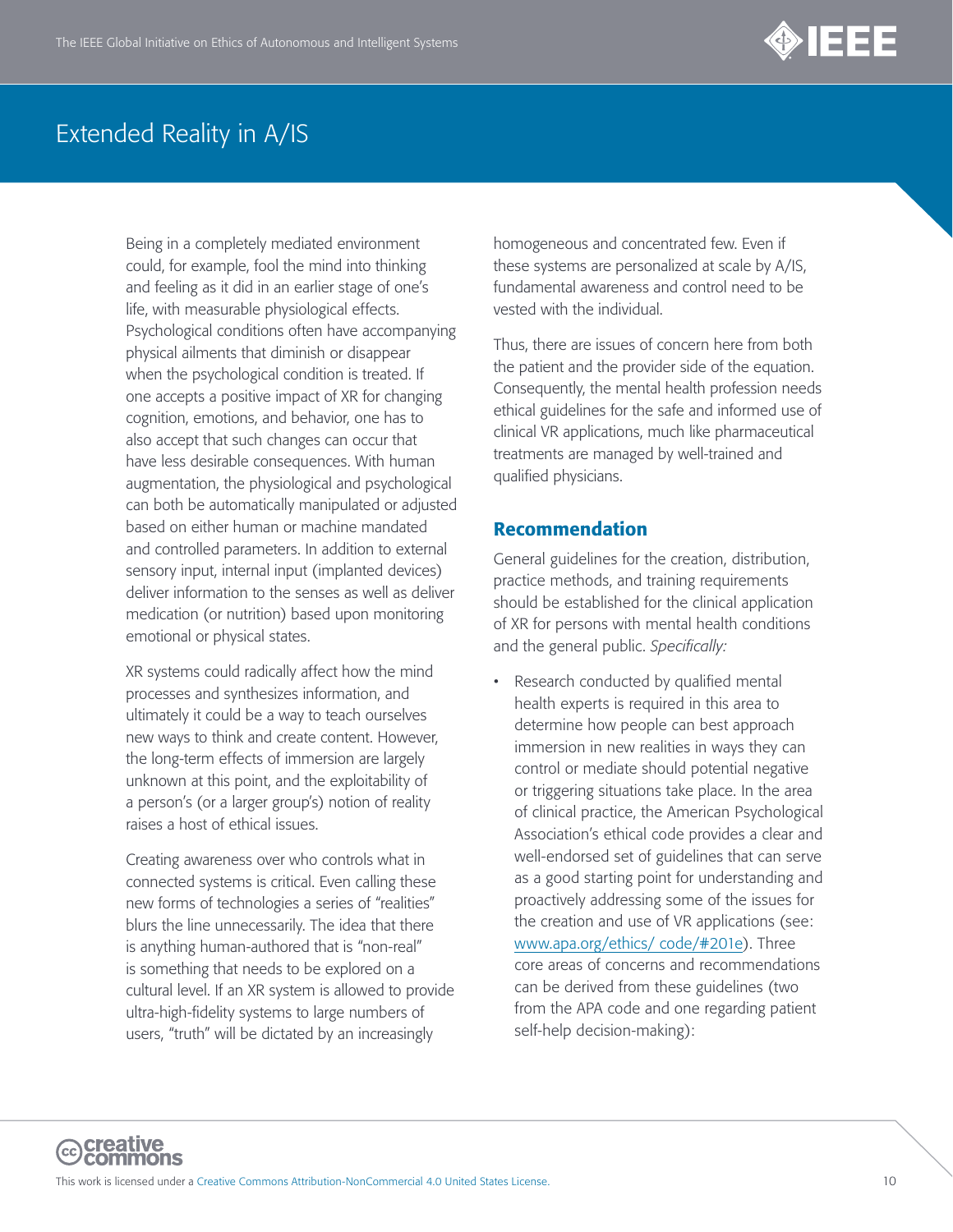

Being in a completely mediated environment could, for example, fool the mind into thinking and feeling as it did in an earlier stage of one's life, with measurable physiological effects. Psychological conditions often have accompanying physical ailments that diminish or disappear when the psychological condition is treated. If one accepts a positive impact of XR for changing cognition, emotions, and behavior, one has to also accept that such changes can occur that have less desirable consequences. With human augmentation, the physiological and psychological can both be automatically manipulated or adjusted based on either human or machine mandated and controlled parameters. In addition to external sensory input, internal input (implanted devices) deliver information to the senses as well as deliver medication (or nutrition) based upon monitoring emotional or physical states.

XR systems could radically affect how the mind processes and synthesizes information, and ultimately it could be a way to teach ourselves new ways to think and create content. However, the long-term effects of immersion are largely unknown at this point, and the exploitability of a person's (or a larger group's) notion of reality raises a host of ethical issues.

Creating awareness over who controls what in connected systems is critical. Even calling these new forms of technologies a series of "realities" blurs the line unnecessarily. The idea that there is anything human-authored that is "non-real" is something that needs to be explored on a cultural level. If an XR system is allowed to provide ultra-high-fidelity systems to large numbers of users, "truth" will be dictated by an increasingly

homogeneous and concentrated few. Even if these systems are personalized at scale by A/IS, fundamental awareness and control need to be vested with the individual.

Thus, there are issues of concern here from both the patient and the provider side of the equation. Consequently, the mental health profession needs ethical guidelines for the safe and informed use of clinical VR applications, much like pharmaceutical treatments are managed by well-trained and qualified physicians.

#### Recommendation

General guidelines for the creation, distribution, practice methods, and training requirements should be established for the clinical application of XR for persons with mental health conditions and the general public. *Specifically:*

• Research conducted by qualified mental health experts is required in this area to determine how people can best approach immersion in new realities in ways they can control or mediate should potential negative or triggering situations take place. In the area of clinical practice, the American Psychological Association's ethical code provides a clear and well-endorsed set of guidelines that can serve as a good starting point for understanding and proactively addressing some of the issues for the creation and use of VR applications (see: www.apa.org/ethics/ code/#201e). Three core areas of concerns and recommendations can be derived from these guidelines (two from the APA code and one regarding patient self-help decision-making):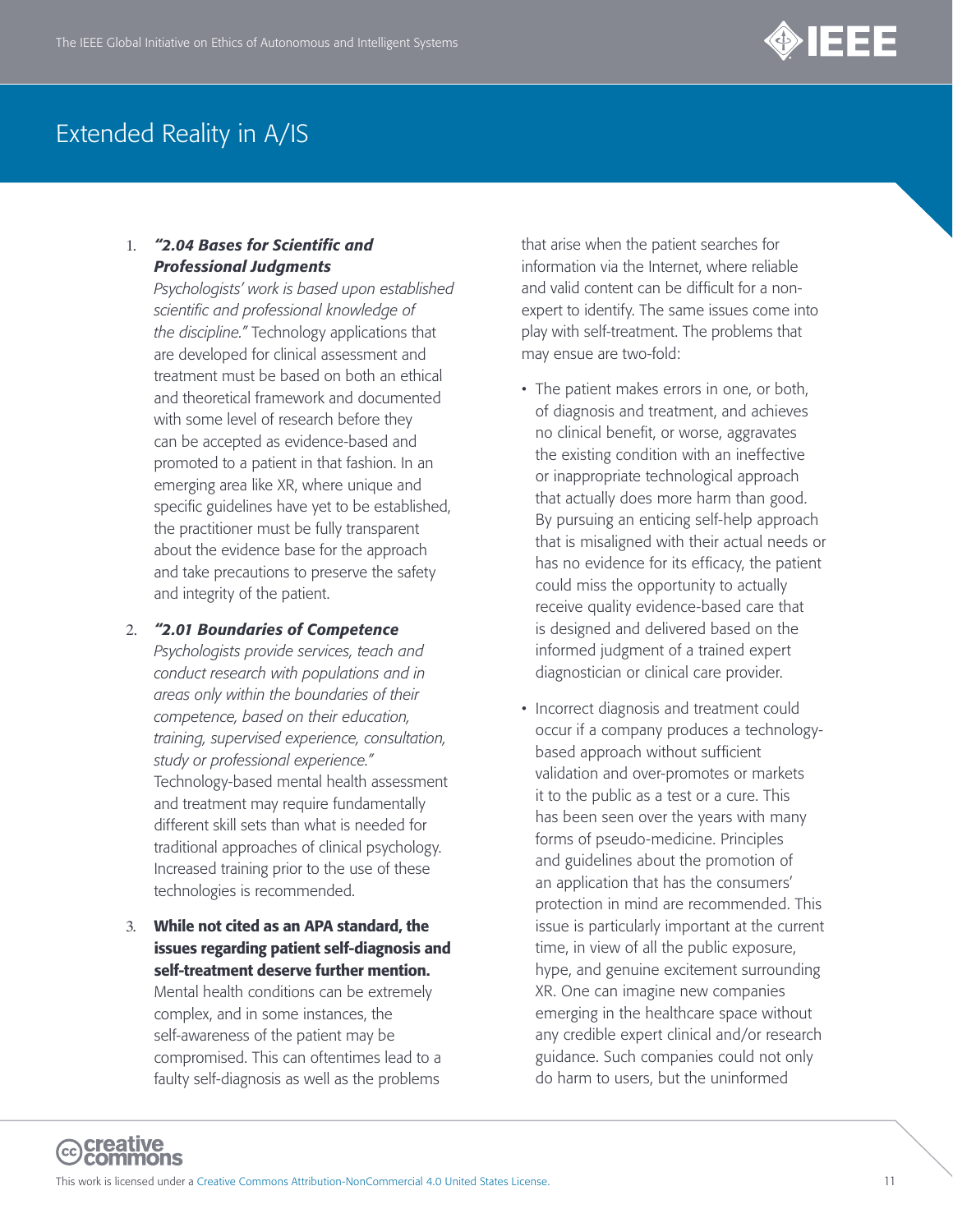

#### 1. *"2.04 Bases for Scientific and Professional Judgments*

*Psychologists' work is based upon established scientific and professional knowledge of the discipline."* Technology applications that are developed for clinical assessment and treatment must be based on both an ethical and theoretical framework and documented with some level of research before they can be accepted as evidence-based and promoted to a patient in that fashion. In an emerging area like XR, where unique and specific guidelines have yet to be established, the practitioner must be fully transparent about the evidence base for the approach and take precautions to preserve the safety and integrity of the patient.

2. *"2.01 Boundaries of Competence*

*Psychologists provide services, teach and conduct research with populations and in areas only within the boundaries of their competence, based on their education, training, supervised experience, consultation, study or professional experience."* Technology-based mental health assessment and treatment may require fundamentally different skill sets than what is needed for traditional approaches of clinical psychology. Increased training prior to the use of these technologies is recommended.

3. While not cited as an APA standard, the issues regarding patient self-diagnosis and self-treatment deserve further mention. Mental health conditions can be extremely complex, and in some instances, the self-awareness of the patient may be compromised. This can oftentimes lead to a faulty self-diagnosis as well as the problems

that arise when the patient searches for information via the Internet, where reliable and valid content can be difficult for a nonexpert to identify. The same issues come into play with self-treatment. The problems that may ensue are two-fold:

- The patient makes errors in one, or both, of diagnosis and treatment, and achieves no clinical benefit, or worse, aggravates the existing condition with an ineffective or inappropriate technological approach that actually does more harm than good. By pursuing an enticing self-help approach that is misaligned with their actual needs or has no evidence for its efficacy, the patient could miss the opportunity to actually receive quality evidence-based care that is designed and delivered based on the informed judgment of a trained expert diagnostician or clinical care provider.
- Incorrect diagnosis and treatment could occur if a company produces a technologybased approach without sufficient validation and over-promotes or markets it to the public as a test or a cure. This has been seen over the years with many forms of pseudo-medicine. Principles and guidelines about the promotion of an application that has the consumers' protection in mind are recommended. This issue is particularly important at the current time, in view of all the public exposure, hype, and genuine excitement surrounding XR. One can imagine new companies emerging in the healthcare space without any credible expert clinical and/or research guidance. Such companies could not only do harm to users, but the uninformed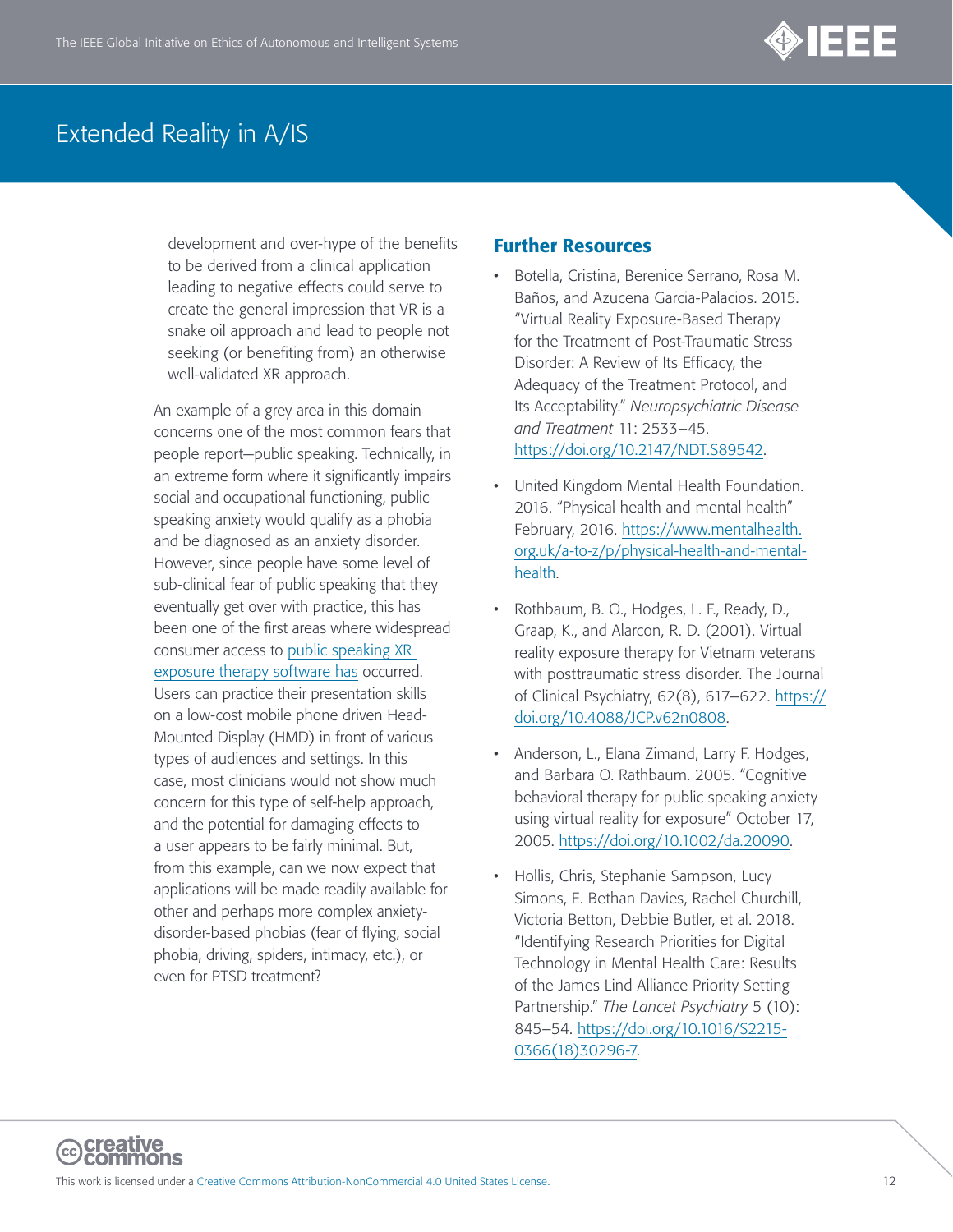

development and over-hype of the benefits to be derived from a clinical application leading to negative effects could serve to create the general impression that VR is a snake oil approach and lead to people not seeking (or benefiting from) an otherwise well-validated XR approach.

An example of a grey area in this domain concerns one of the most common fears that people report—public speaking. Technically, in an extreme form where it significantly impairs social and occupational functioning, public speaking anxiety would qualify as a phobia and be diagnosed as an anxiety disorder. However, since people have some level of sub-clinical fear of public speaking that they eventually get over with practice, this has been one of the first areas where widespread consumer access to [public speaking XR](https://www.frontiersin.org/articles/10.3389/fict.2017.00013/full)  [exposure therapy software has](https://www.frontiersin.org/articles/10.3389/fict.2017.00013/full) occurred. Users can practice their presentation skills on a low-cost mobile phone driven Head-Mounted Display (HMD) in front of various types of audiences and settings. In this case, most clinicians would not show much concern for this type of self-help approach, and the potential for damaging effects to a user appears to be fairly minimal. But, from this example, can we now expect that applications will be made readily available for other and perhaps more complex anxietydisorder-based phobias (fear of flying, social phobia, driving, spiders, intimacy, etc.), or even for PTSD treatment?

- Botella, Cristina, Berenice Serrano, Rosa M. Baños, and Azucena Garcia-Palacios. 2015. "Virtual Reality Exposure-Based Therapy for the Treatment of Post-Traumatic Stress Disorder: A Review of Its Efficacy, the Adequacy of the Treatment Protocol, and Its Acceptability." *Neuropsychiatric Disease and Treatment* 11: 2533–45. [https://doi.org/10.2147/NDT.S89542.](https://doi.org/10.2147/NDT.S89542)
- United Kingdom Mental Health Foundation. 2016. "Physical health and mental health" February, 2016. [https://www.mentalhealth.](https://www.mentalhealth.org.uk/a-to-z/p/physical-health-and-mental-health) [org.uk/a-to-z/p/physical-health-and-mental](https://www.mentalhealth.org.uk/a-to-z/p/physical-health-and-mental-health)[health](https://www.mentalhealth.org.uk/a-to-z/p/physical-health-and-mental-health).
- Rothbaum, B. O., Hodges, L. F., Ready, D., Graap, K., and Alarcon, R. D. (2001). Virtual reality exposure therapy for Vietnam veterans with posttraumatic stress disorder. The Journal of Clinical Psychiatry, 62(8), 617–622. [https://](http://aim.em-lyon.com/) [doi.org/10.4088/JCP.v62n0808.](http://aim.em-lyon.com/)
- Anderson, L., Elana Zimand, Larry F. Hodges, and Barbara O. Rathbaum. 2005. "Cognitive behavioral therapy for public speaking anxiety using virtual reality for exposure" October 17, 2005. [https://doi.org/10.1002/da.20090.](https://doi.org/10.1002/da.20090)
- Hollis, Chris, Stephanie Sampson, Lucy Simons, E. Bethan Davies, Rachel Churchill, Victoria Betton, Debbie Butler, et al. 2018. "Identifying Research Priorities for Digital Technology in Mental Health Care: Results of the James Lind Alliance Priority Setting Partnership." *The Lancet Psychiatry* 5 (10): 845–54. [https://doi.org/10.1016/S2215-](https://doi.org/10.1016/S2215-0366(18)30296-7) [0366\(18\)30296-7](https://doi.org/10.1016/S2215-0366(18)30296-7).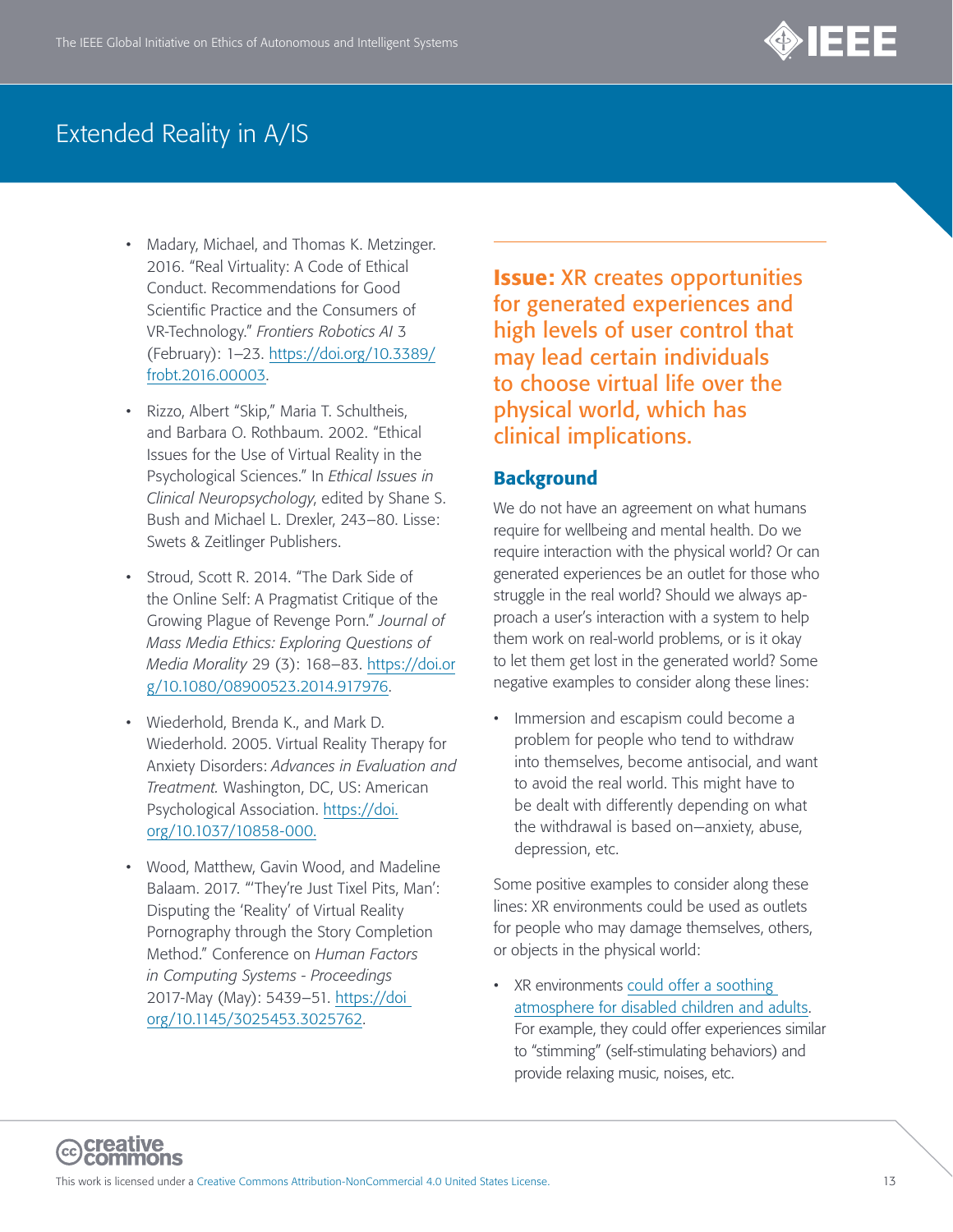

- Madary, Michael, and Thomas K. Metzinger. 2016. "Real Virtuality: A Code of Ethical Conduct. Recommendations for Good Scientific Practice and the Consumers of VR-Technology." *Frontiers Robotics AI* 3 (February): 1–23. [https://doi.org/10.3389/](https://doi.org/10.3389/frobt.2016.00003) [frobt.2016.00003.](https://doi.org/10.3389/frobt.2016.00003)
- Rizzo, Albert "Skip," Maria T. Schultheis, and Barbara O. Rothbaum. 2002. "Ethical Issues for the Use of Virtual Reality in the Psychological Sciences." In *Ethical Issues in Clinical Neuropsychology*, edited by Shane S. Bush and Michael L. Drexler, 243–80. Lisse: Swets & Zeitlinger Publishers.
- Stroud, Scott R. 2014. "The Dark Side of the Online Self: A Pragmatist Critique of the Growing Plague of Revenge Porn." *Journal of Mass Media Ethics: Exploring Questions of Media Morality* 29 (3): 168–83. [https://doi.or](https://www.tandfonline.com/doi/abs/10.1080/08900523.2014.917976) [g/10.1080/08900523.2014.917976.](https://www.tandfonline.com/doi/abs/10.1080/08900523.2014.917976)
- Wiederhold, Brenda K., and Mark D. Wiederhold. 2005. Virtual Reality Therapy for Anxiety Disorders: *Advances in Evaluation and Treatment.* Washington, DC, US: American Psychological Association. [https://doi.](https://doi.org/10.1037/10858-000) [org/10.1037/10858-000](https://doi.org/10.1037/10858-000).
- Wood, Matthew, Gavin Wood, and Madeline Balaam. 2017. "'They're Just Tixel Pits, Man': Disputing the 'Reality' of Virtual Reality Pornography through the Story Completion Method." Conference on *Human Factors in Computing Systems - Proceedings* 2017-May (May): 5439–51. [https://doi](https://dl.acm.org/doi/10.1145/3025453.3025762)  [org/10.1145/3025453.3025762](https://dl.acm.org/doi/10.1145/3025453.3025762).

Issue: XR creates opportunities for generated experiences and high levels of user control that may lead certain individuals to choose virtual life over the physical world, which has clinical implications.

#### **Background**

We do not have an agreement on what humans require for wellbeing and mental health. Do we require interaction with the physical world? Or can generated experiences be an outlet for those who struggle in the real world? Should we always approach a user's interaction with a system to help them work on real-world problems, or is it okay to let them get lost in the generated world? Some negative examples to consider along these lines:

Immersion and escapism could become a problem for people who tend to withdraw into themselves, become antisocial, and want to avoid the real world. This might have to be dealt with differently depending on what the withdrawal is based on—anxiety, abuse, depression, etc.

Some positive examples to consider along these lines: XR environments could be used as outlets for people who may damage themselves, others, or objects in the physical world:

• XR environments could offer a soothing [atmosphere for disabled children and adults.](https://digileaders.com/6-ways-virtual-reality-could-transform-the-lives-of-disabled-people/) For example, they could offer experiences similar to "stimming" (self-stimulating behaviors) and provide relaxing music, noises, etc.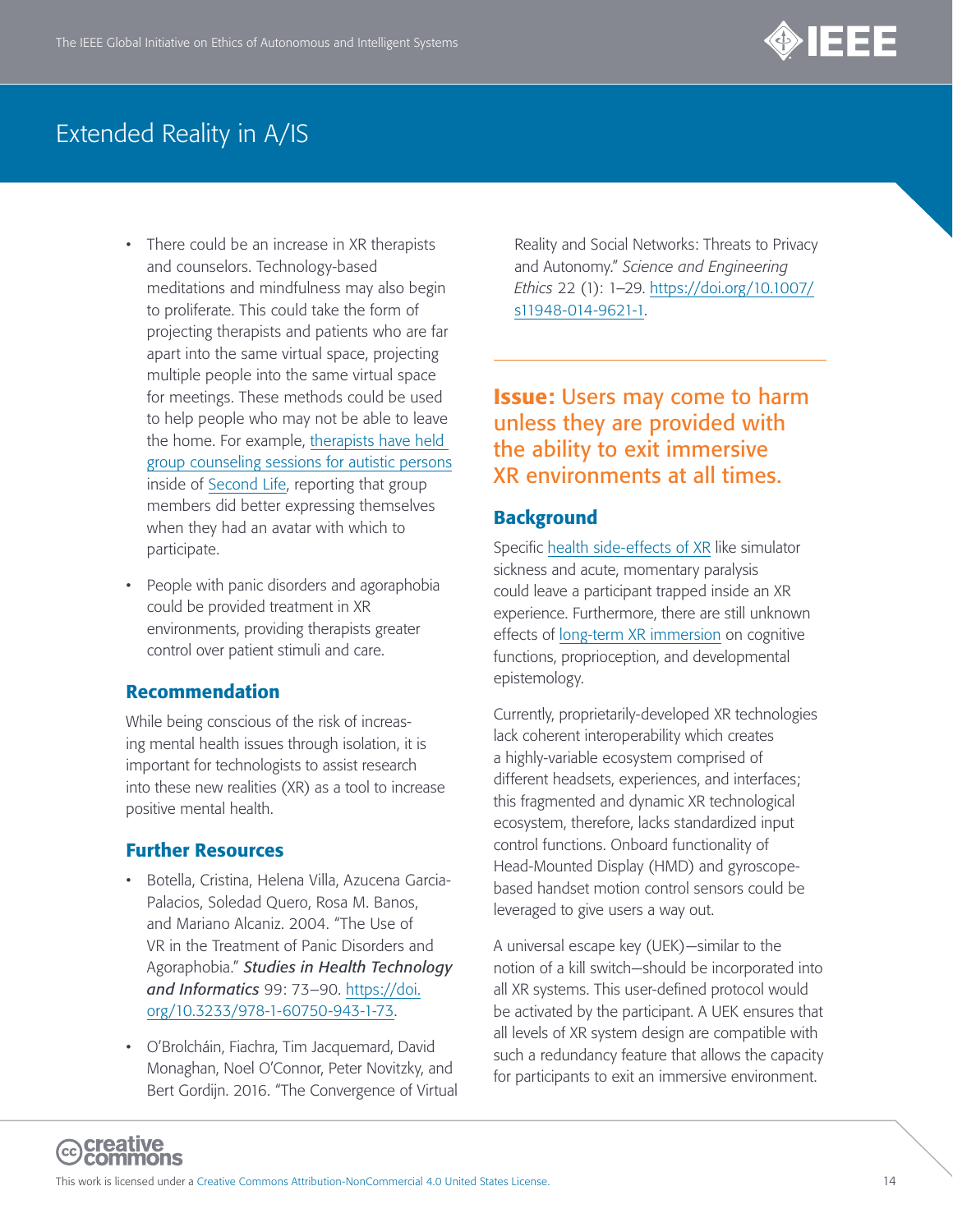

- There could be an increase in XR therapists and counselors. Technology-based meditations and mindfulness may also begin to proliferate. This could take the form of projecting therapists and patients who are far apart into the same virtual space, projecting multiple people into the same virtual space for meetings. These methods could be used to help people who may not be able to leave the home. For example, [therapists have held](https://www.apa.org/monitor/2009/09/second-life)  [group counseling sessions for autistic persons](https://www.apa.org/monitor/2009/09/second-life) inside of [Second Life](https://join.secondlife.com/?lang=en&utm_source=Google&network=g&campaignid=1493539903&adgroupid=57071407629&placement=&keyword=second%20life&matchtype=e&creative=285283568076&gclid=EAIaIQobChMIoJPpwNbl5gIVEWKGCh1h6AGjEAAYASAAEgKSAfD_BwE), reporting that group members did better expressing themselves when they had an avatar with which to participate.
- People with panic disorders and agoraphobia could be provided treatment in XR environments, providing therapists greater control over patient stimuli and care.

#### Recommendation

While being conscious of the risk of increasing mental health issues through isolation, it is important for technologists to assist research into these new realities (XR) as a tool to increase positive mental health.

#### Further Resources

- Botella, Cristina, Helena Villa, Azucena Garcia-Palacios, Soledad Quero, Rosa M. Banos, and Mariano Alcaniz. 2004. "The Use of VR in the Treatment of Panic Disorders and Agoraphobia." *Studies in Health Technology and Informatics* 99: 73–90. [https://doi.](https://doi.org/10.3233/978-1-60750-943-1-73) [org/10.3233/978-1-60750-943-1-73](https://doi.org/10.3233/978-1-60750-943-1-73).
- O'Brolcháin, Fiachra, Tim Jacquemard, David Monaghan, Noel O'Connor, Peter Novitzky, and Bert Gordijn. 2016. "The Convergence of Virtual

Reality and Social Networks: Threats to Privacy and Autonomy." *Science and Engineering Ethics* 22 (1): 1–29. [https://doi.org/10.1007/](https://doi.org/10.1007/s11948-014-9621-1) [s11948-014-9621-1](https://doi.org/10.1007/s11948-014-9621-1).

Issue: Users may come to harm unless they are provided with the ability to exit immersive XR environments at all times.

#### **Background**

Specific [health side-effects of XR](https://www.sciencefocus.com/future-technology/are-vr-headsets-bad-for-your-health/) like simulator sickness and acute, momentary paralysis could leave a participant trapped inside an XR experience. Furthermore, there are still unknown effects of [long-term XR immersion](https://link.springer.com/article/10.1007/s10055-019-00411-y) on cognitive functions, proprioception, and developmental epistemology.

Currently, proprietarily-developed XR technologies lack coherent interoperability which creates a highly-variable ecosystem comprised of different headsets, experiences, and interfaces; this fragmented and dynamic XR technological ecosystem, therefore, lacks standardized input control functions. Onboard functionality of Head-Mounted Display (HMD) and gyroscopebased handset motion control sensors could be leveraged to give users a way out.

<span id="page-13-0"></span>A universal escape key (UEK)—similar to the notion of a kill switch—should be incorporated into all XR systems. This user-defined protocol would be activated by the participant. A UEK ensures that all levels of XR system design are compatible with such a redundancy feature that allows the capacity for participants to exit an immersive environment.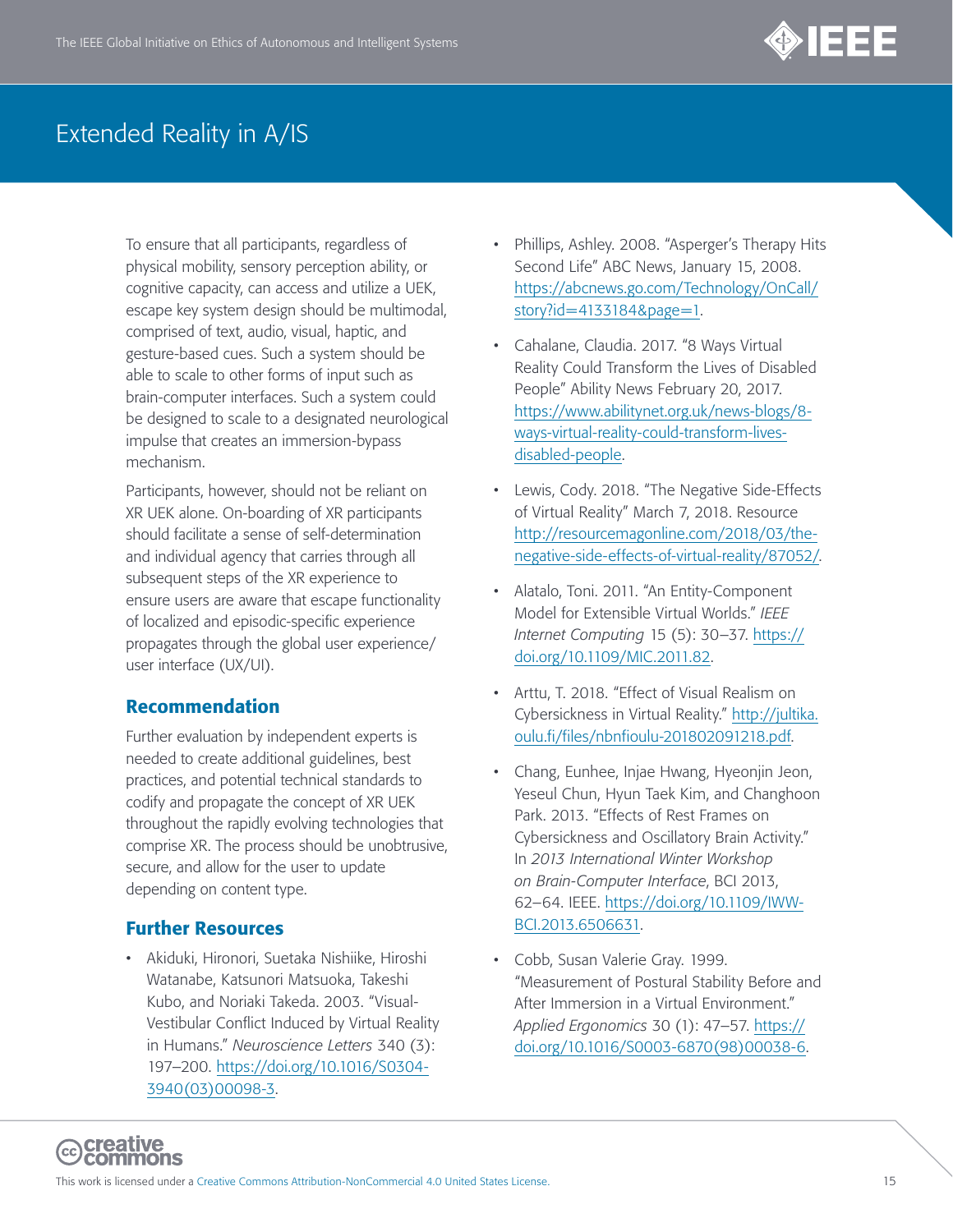

To ensure that all participants, regardless of physical mobility, sensory perception ability, or cognitive capacity, can access and utilize a UEK, escape key system design should be multimodal, comprised of text, audio, visual, haptic, and gesture-based cues. Such a system should be able to scale to other forms of input such as brain-computer interfaces. Such a system could be designed to scale to a designated neurological impulse that creates an immersion-bypass mechanism.

Participants, however, should not be reliant on XR UEK alone. On-boarding of XR participants should facilitate a sense of self-determination and individual agency that carries through all subsequent steps of the XR experience to ensure users are aware that escape functionality of localized and episodic-specific experience propagates through the global user experience/ user interface (UX/UI).

#### Recommendation

Further evaluation by independent experts is needed to create additional guidelines, best practices, and potential technical standards to codify and propagate the concept of XR UEK throughout the rapidly evolving technologies that comprise XR. The process should be unobtrusive, secure, and allow for the user to update depending on content type.

#### Further Resources

• Akiduki, Hironori, Suetaka Nishiike, Hiroshi Watanabe, Katsunori Matsuoka, Takeshi Kubo, and Noriaki Takeda. 2003. "Visual-Vestibular Conflict Induced by Virtual Reality in Humans." *Neuroscience Letters* 340 (3): 197–200. [https://doi.org/10.1016/S0304-](https://doi.org/10.1016/S0304-3940(03)00098-3) [3940\(03\)00098-3.](https://doi.org/10.1016/S0304-3940(03)00098-3)

- Phillips, Ashley. 2008. "Asperger's Therapy Hits Second Life" ABC News, January 15, 2008. [https://abcnews.go.com/Technology/OnCall/](https://abcnews.go.com/Technology/OnCall/story?id=4133184&page=1) [story?id=4133184&page=1.](https://abcnews.go.com/Technology/OnCall/story?id=4133184&page=1)
- Cahalane, Claudia. 2017. "8 Ways Virtual Reality Could Transform the Lives of Disabled People" Ability News February 20, 2017. [https://www.abilitynet.org.uk/news-blogs/8](https://www.abilitynet.org.uk/news-blogs/8-ways-virtual-reality-could-transform-lives-disabled-people) [ways-virtual-reality-could-transform-lives](https://www.abilitynet.org.uk/news-blogs/8-ways-virtual-reality-could-transform-lives-disabled-people)[disabled-people.](https://www.abilitynet.org.uk/news-blogs/8-ways-virtual-reality-could-transform-lives-disabled-people)
- Lewis, Cody. 2018. "The Negative Side-Effects of Virtual Reality" March 7, 2018. Resource [http://resourcemagonline.com/2018/03/the](http://resourcemagonline.com/2018/03/the-negative-side-effects-of-virtual-reality/87052/)[negative-side-effects-of-virtual-reality/87052/](http://resourcemagonline.com/2018/03/the-negative-side-effects-of-virtual-reality/87052/).
- Alatalo, Toni. 2011. "An Entity-Component Model for Extensible Virtual Worlds." *IEEE Internet Computing* 15 (5): 30–37. [https://](https://doi.org/10.1109/MIC.2011.82) [doi.org/10.1109/MIC.2011.82.](https://doi.org/10.1109/MIC.2011.82)
- Arttu, T. 2018. "Effect of Visual Realism on Cybersickness in Virtual Reality." [http://jultika.](http://jultika.oulu.fi/files/nbnfioulu-201802091218.pdf) [oulu.fi/files/nbnfioulu-201802091218.pdf](http://jultika.oulu.fi/files/nbnfioulu-201802091218.pdf).
- Chang, Eunhee, Injae Hwang, Hyeonjin Jeon, Yeseul Chun, Hyun Taek Kim, and Changhoon Park. 2013. "Effects of Rest Frames on Cybersickness and Oscillatory Brain Activity." In *2013 International Winter Workshop on Brain-Computer Interface*, BCI 2013, 62–64. IEEE. [https://doi.org/10.1109/IWW-](https://doi.org/10.1109/IWW-BCI.2013.6506631)[BCI.2013.6506631](https://doi.org/10.1109/IWW-BCI.2013.6506631).
- Cobb, Susan Valerie Gray. 1999. "Measurement of Postural Stability Before and After Immersion in a Virtual Environment." *Applied Ergonomics* 30 (1): 47–57. [https://](https://doi.org/10.1016/S0003-6870(98)00038-6) [doi.org/10.1016/S0003-6870\(98\)00038-6.](https://doi.org/10.1016/S0003-6870(98)00038-6)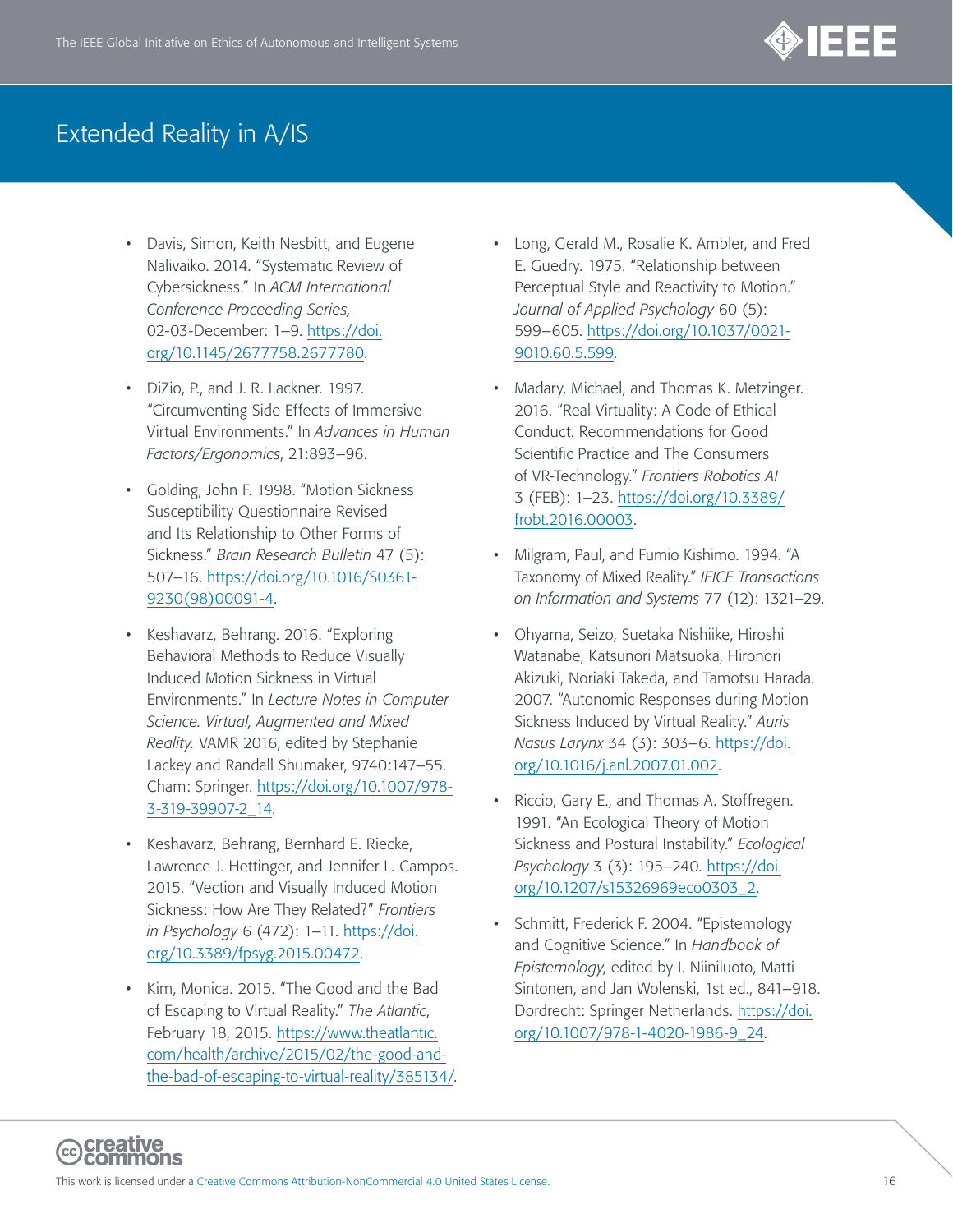

- Davis, Simon, Keith Nesbitt, and Eugene Nalivaiko. 2014. "Systematic Review of Cybersickness." In *ACM International Conference Proceeding Series,* 02-03-December: 1–9. [https://doi.](https://doi.org/10.1145/2677758.2677780) [org/10.1145/2677758.2677780](https://doi.org/10.1145/2677758.2677780).
- DiZio, P., and J. R. Lackner. 1997. "Circumventing Side Effects of Immersive Virtual Environments." In *Advances in Human Factors/Ergonomics*, 21:893–96.
- Golding, John F. 1998. "Motion Sickness Susceptibility Questionnaire Revised and Its Relationship to Other Forms of Sickness." *Brain Research Bulletin* 47 (5): 507–16. [https://doi.org/10.1016/S0361-](https://doi.org/10.1016/S0361-9230(98)00091-4) [9230\(98\)00091-4.](https://doi.org/10.1016/S0361-9230(98)00091-4)
- Keshavarz, Behrang. 2016. "Exploring Behavioral Methods to Reduce Visually Induced Motion Sickness in Virtual Environments." In *Lecture Notes in Computer Science. Virtual, Augmented and Mixed Reality.* VAMR 2016, edited by Stephanie Lackey and Randall Shumaker, 9740:147–55. Cham: Springer. [https://doi.org/10.1007/978-](https://doi.org/10.1007/978-3-319-39907-2_14) [3-319-39907-2\\_14.](https://doi.org/10.1007/978-3-319-39907-2_14)
- Keshavarz, Behrang, Bernhard E. Riecke, Lawrence J. Hettinger, and Jennifer L. Campos. 2015. "Vection and Visually Induced Motion Sickness: How Are They Related?" *Frontiers in Psychology* 6 (472): 1–11. [https://doi.](https://doi.org/10.3389/fpsyg.2015.00472) [org/10.3389/fpsyg.2015.00472](https://doi.org/10.3389/fpsyg.2015.00472).
- Kim, Monica. 2015. "The Good and the Bad of Escaping to Virtual Reality." *The Atlantic*, February 18, 2015. [https://www.theatlantic.](https://www.theatlantic.com/health/archive/2015/02/the-good-and-the-bad-of-escaping-to-virtual-reality/385134/) [com/health/archive/2015/02/the-good-and](https://www.theatlantic.com/health/archive/2015/02/the-good-and-the-bad-of-escaping-to-virtual-reality/385134/)[the-bad-of-escaping-to-virtual-reality/385134/.](https://www.theatlantic.com/health/archive/2015/02/the-good-and-the-bad-of-escaping-to-virtual-reality/385134/)
- Long, Gerald M., Rosalie K. Ambler, and Fred E. Guedry. 1975. "Relationship between Perceptual Style and Reactivity to Motion." *Journal of Applied Psychology* 60 (5): 599–605. [https://doi.org/10.1037/0021-](https://doi.org/10.1037/0021-9010.60.5.599) [9010.60.5.599.](https://doi.org/10.1037/0021-9010.60.5.599)
- Madary, Michael, and Thomas K. Metzinger. 2016. "Real Virtuality: A Code of Ethical Conduct. Recommendations for Good Scientific Practice and The Consumers of VR-Technology." *Frontiers Robotics AI* 3 (FEB): 1–23. [https://doi.org/10.3389/](https://doi.org/10.3389/frobt.2016.00003) [frobt.2016.00003](https://doi.org/10.3389/frobt.2016.00003).
- Milgram, Paul, and Fumio Kishimo. 1994. "A Taxonomy of Mixed Reality." *IEICE Transactions on Information and Systems* 77 (12): 1321–29.
- Ohyama, Seizo, Suetaka Nishiike, Hiroshi Watanabe, Katsunori Matsuoka, Hironori Akizuki, Noriaki Takeda, and Tamotsu Harada. 2007. "Autonomic Responses during Motion Sickness Induced by Virtual Reality." *Auris Nasus Larynx* 34 (3): 303–6. [https://doi.](https://doi.org/10.1016/j.anl.2007.01.002) [org/10.1016/j.anl.2007.01.002.](https://doi.org/10.1016/j.anl.2007.01.002)
- Riccio, Gary E., and Thomas A. Stoffregen. 1991. "An Ecological Theory of Motion Sickness and Postural Instability." *Ecological Psychology* 3 (3): 195–240. [https://doi.](https://doi.org/10.1207/s15326969eco0303_2) [org/10.1207/s15326969eco0303\\_2](https://doi.org/10.1207/s15326969eco0303_2).
- Schmitt, Frederick F. 2004. "Epistemology and Cognitive Science." In *Handbook of Epistemology*, edited by I. Niiniluoto, Matti Sintonen, and Jan Wolenski, 1st ed., 841–918. Dordrecht: Springer Netherlands. [https://doi.](https://doi.org/10.1007/978-1-4020-1986-9_24) [org/10.1007/978-1-4020-1986-9\\_24.](https://doi.org/10.1007/978-1-4020-1986-9_24)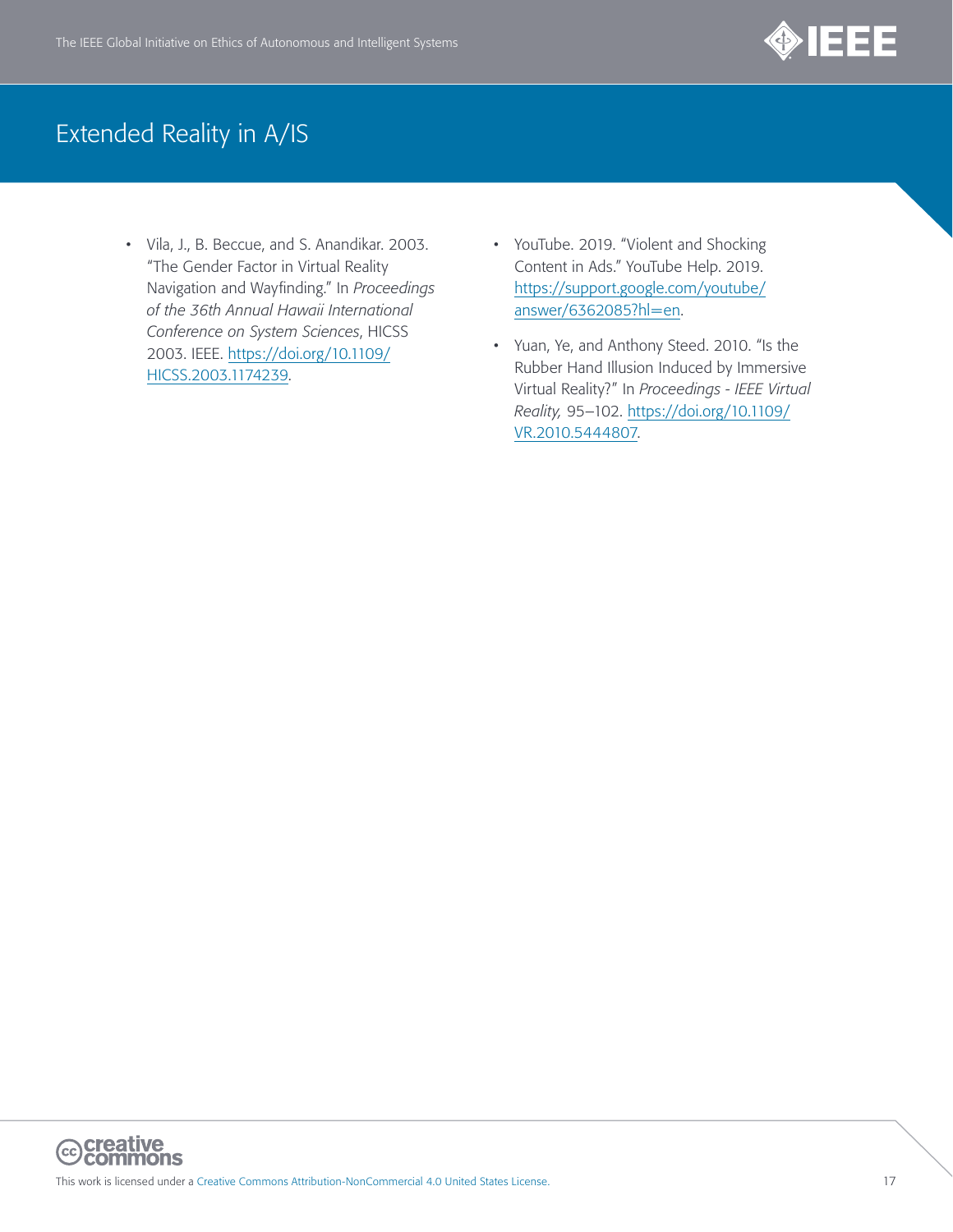

- Vila, J., B. Beccue, and S. Anandikar. 2003. "The Gender Factor in Virtual Reality Navigation and Wayfinding." In *Proceedings of the 36th Annual Hawaii International Conference on System Sciences*, HICSS 2003. IEEE. [https://doi.org/10.1109/](https://doi.org/10.1109/HICSS.2003.1174239) [HICSS.2003.1174239](https://doi.org/10.1109/HICSS.2003.1174239).
- YouTube. 2019. "Violent and Shocking Content in Ads." YouTube Help. 2019. [https://support.google.com/youtube/](https://support.google.com/youtube/answer/6362085?hl=en) [answer/6362085?hl=en](https://support.google.com/youtube/answer/6362085?hl=en).
- Yuan, Ye, and Anthony Steed. 2010. "Is the Rubber Hand Illusion Induced by Immersive Virtual Reality?" In *Proceedings - IEEE Virtual Reality,* 95–102. [https://doi.org/10.1109/](https://doi.org/10.1109/VR.2010.5444807) [VR.2010.5444807.](https://doi.org/10.1109/VR.2010.5444807)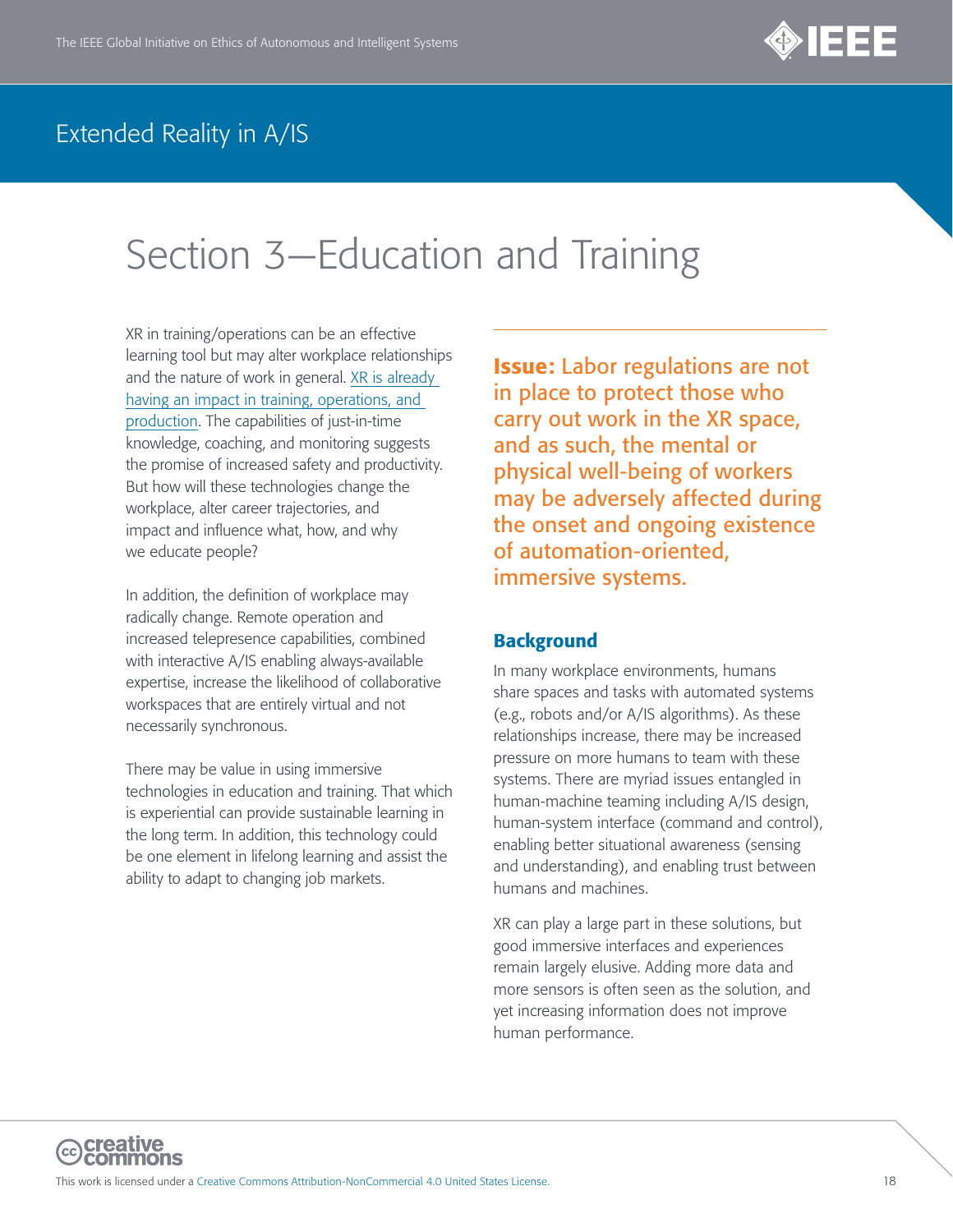

# <span id="page-17-0"></span>Section 3—Education and Training

XR in training/operations can be an effective learning tool but may alter workplace relationships and the nature of work in general. [XR is already](https://arpost.co/2019/12/30/workforce-training-tops-use-cases-for-augmented-and-virtual-reality-applications/)  [having an impact in training, operations, and](https://arpost.co/2019/12/30/workforce-training-tops-use-cases-for-augmented-and-virtual-reality-applications/)  [production](https://arpost.co/2019/12/30/workforce-training-tops-use-cases-for-augmented-and-virtual-reality-applications/). The capabilities of just-in-time knowledge, coaching, and monitoring suggests the promise of increased safety and productivity. But how will these technologies change the workplace, alter career trajectories, and impact and influence what, how, and why we educate people?

In addition, the definition of workplace may radically change. Remote operation and increased telepresence capabilities, combined with interactive A/IS enabling always-available expertise, increase the likelihood of collaborative workspaces that are entirely virtual and not necessarily synchronous.

There may be value in using immersive technologies in education and training. That which is experiential can provide sustainable learning in the long term. In addition, this technology could be one element in lifelong learning and assist the ability to adapt to changing job markets.

Issue: Labor regulations are not in place to protect those who carry out work in the XR space, and as such, the mental or physical well-being of workers may be adversely affected during the onset and ongoing existence of automation-oriented, immersive systems.

#### **Background**

In many workplace environments, humans share spaces and tasks with automated systems (e.g., robots and/or A/IS algorithms). As these relationships increase, there may be increased pressure on more humans to team with these systems. There are myriad issues entangled in human-machine teaming including A/IS design, human-system interface (command and control), enabling better situational awareness (sensing and understanding), and enabling trust between humans and machines.

XR can play a large part in these solutions, but good immersive interfaces and experiences remain largely elusive. Adding more data and more sensors is often seen as the solution, and yet increasing information does not improve human performance.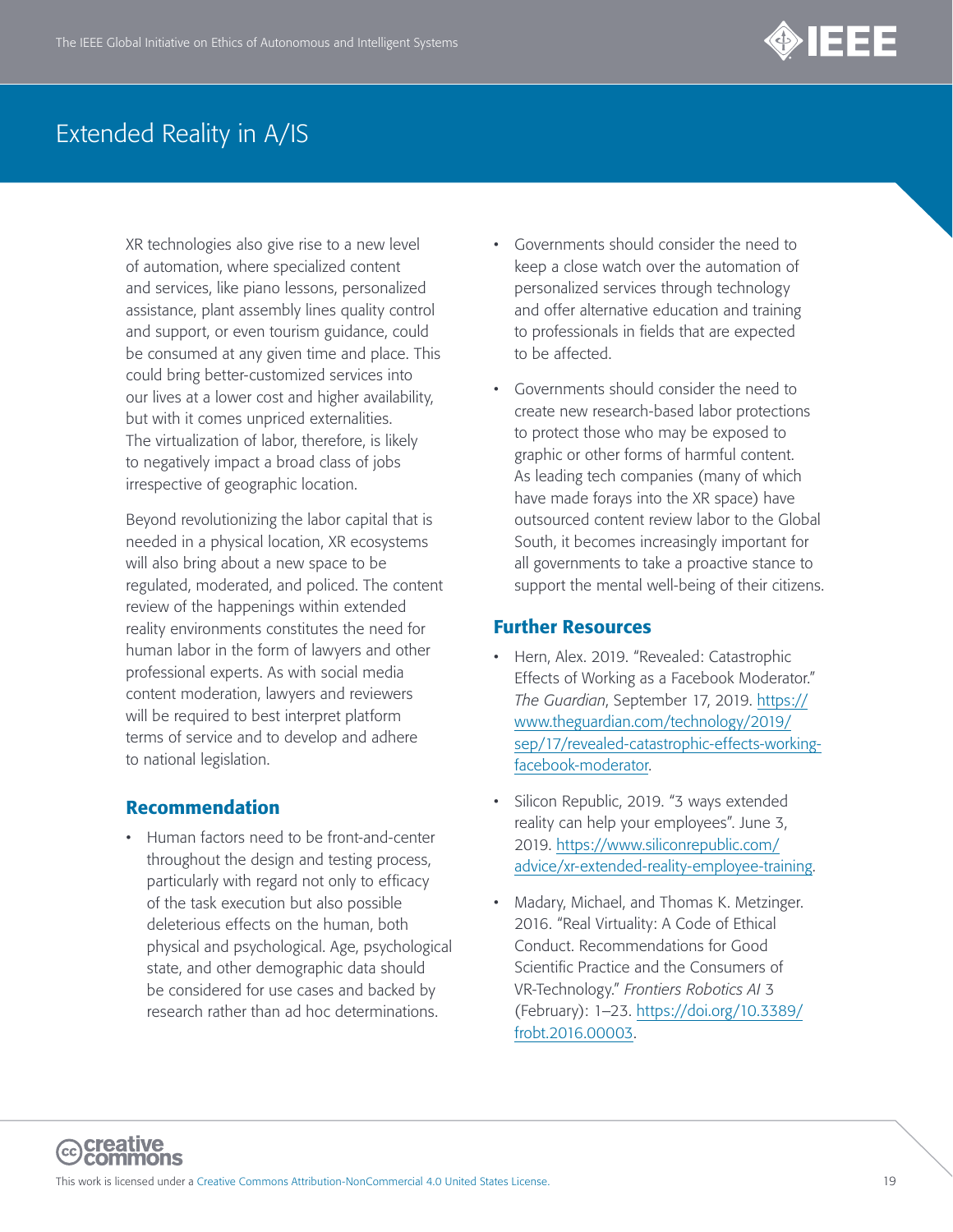

XR technologies also give rise to a new level of automation, where specialized content and services, like piano lessons, personalized assistance, plant assembly lines quality control and support, or even tourism guidance, could be consumed at any given time and place. This could bring better-customized services into our lives at a lower cost and higher availability, but with it comes unpriced externalities. The virtualization of labor, therefore, is likely to negatively impact a broad class of jobs irrespective of geographic location.

Beyond revolutionizing the labor capital that is needed in a physical location, XR ecosystems will also bring about a new space to be regulated, moderated, and policed. The content review of the happenings within extended reality environments constitutes the need for human labor in the form of lawyers and other professional experts. As with social media content moderation, lawyers and reviewers will be required to best interpret platform terms of service and to develop and adhere to national legislation.

#### Recommendation

• Human factors need to be front-and-center throughout the design and testing process, particularly with regard not only to efficacy of the task execution but also possible deleterious effects on the human, both physical and psychological. Age, psychological state, and other demographic data should be considered for use cases and backed by research rather than ad hoc determinations.

- Governments should consider the need to keep a close watch over the automation of personalized services through technology and offer alternative education and training to professionals in fields that are expected to be affected.
- Governments should consider the need to create new research-based labor protections to protect those who may be exposed to graphic or other forms of harmful content. As leading tech companies (many of which have made forays into the XR space) have outsourced content review labor to the Global South, it becomes increasingly important for all governments to take a proactive stance to support the mental well-being of their citizens.

- Hern, Alex. 2019. "Revealed: Catastrophic Effects of Working as a Facebook Moderator." *The Guardian*, September 17, 2019. [https://](https://www.theguardian.com/technology/2019/sep/17/revealed-catastrophic-effects-working-facebook-moderator) [www.theguardian.com/technology/2019/](https://www.theguardian.com/technology/2019/sep/17/revealed-catastrophic-effects-working-facebook-moderator) [sep/17/revealed-catastrophic-effects-working](https://www.theguardian.com/technology/2019/sep/17/revealed-catastrophic-effects-working-facebook-moderator)[facebook-moderator.](https://www.theguardian.com/technology/2019/sep/17/revealed-catastrophic-effects-working-facebook-moderator)
- Silicon Republic, 2019. "3 ways extended reality can help your employees". June 3, 2019. [https://www.siliconrepublic.com/](https://www.siliconrepublic.com/advice/xr-extended-reality-employee-training) [advice/xr-extended-reality-employee-training](https://www.siliconrepublic.com/advice/xr-extended-reality-employee-training).
- Madary, Michael, and Thomas K. Metzinger. 2016. "Real Virtuality: A Code of Ethical Conduct. Recommendations for Good Scientific Practice and the Consumers of VR-Technology." *Frontiers Robotics AI* 3 (February): 1–23. [https://doi.org/10.3389/](https://doi.org/10.3389/frobt.2016.00003) [frobt.2016.00003](https://doi.org/10.3389/frobt.2016.00003).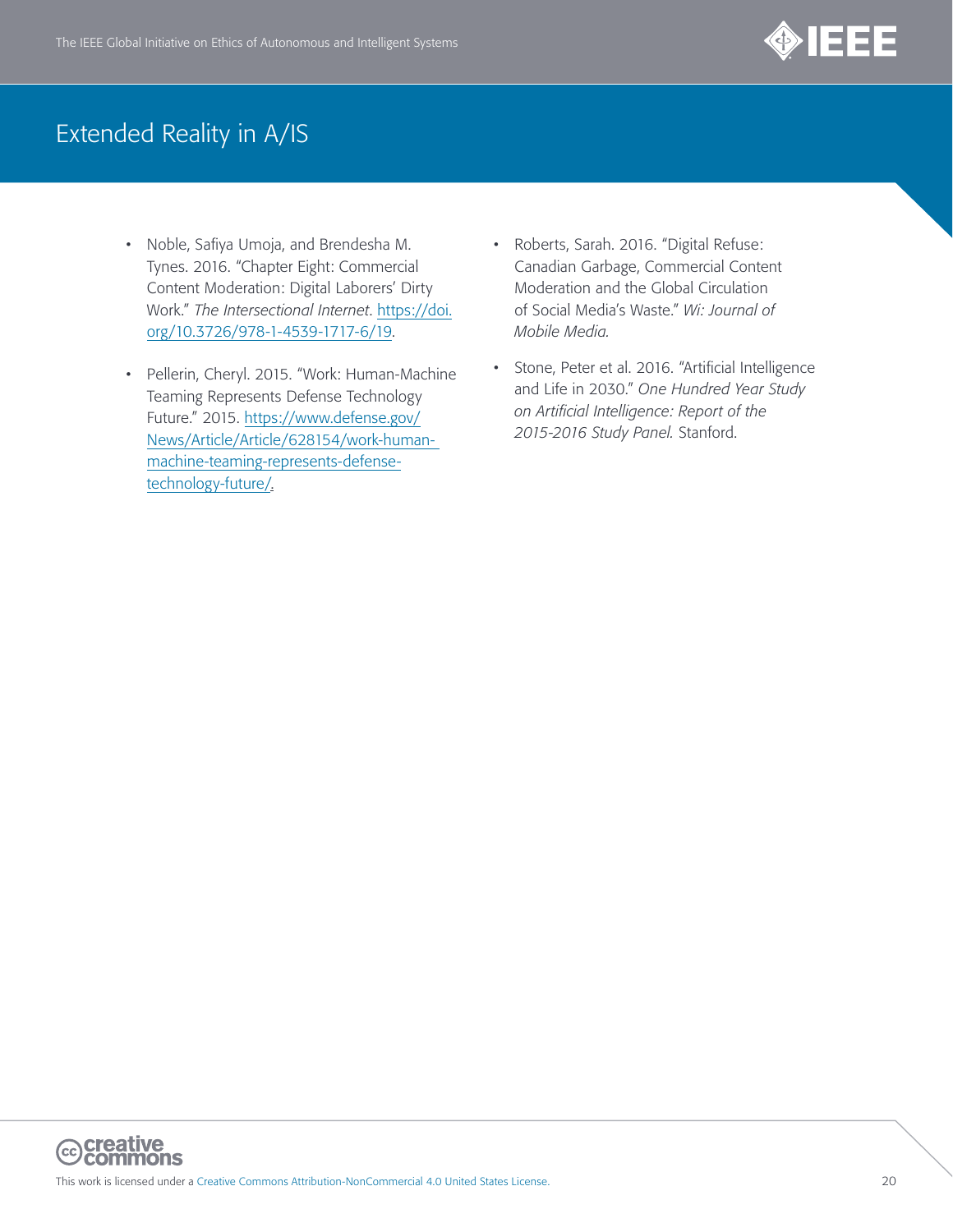

- Noble, Safiya Umoja, and Brendesha M. Tynes. 2016. "Chapter Eight: Commercial Content Moderation: Digital Laborers' Dirty Work." *The Intersectional Internet*. [https://doi.](https://doi.org/10.3726/978-1-4539-1717-6/19) [org/10.3726/978-1-4539-1717-6/19.](https://doi.org/10.3726/978-1-4539-1717-6/19)
- Pellerin, Cheryl. 2015. "Work: Human-Machine Teaming Represents Defense Technology Future." 2015. [https://www.defense.gov/](https://www.defense.gov/News/Article/Article/628154/work-human-%20machine-teaming-represents-defense-technology-future/) [News/Article/Article/628154/work-human](https://www.defense.gov/News/Article/Article/628154/work-human-%20machine-teaming-represents-defense-technology-future/)[machine-teaming-represents-defense](https://www.defense.gov/News/Article/Article/628154/work-human-%20machine-teaming-represents-defense-technology-future/)[technology-future/.](https://www.defense.gov/News/Article/Article/628154/work-human-%20machine-teaming-represents-defense-technology-future/)
- Roberts, Sarah. 2016. "Digital Refuse: Canadian Garbage, Commercial Content Moderation and the Global Circulation of Social Media's Waste." *Wi: Journal of Mobile Media.*
- Stone, Peter et al. 2016. "Artificial Intelligence and Life in 2030." *One Hundred Year Study on Artificial Intelligence: Report of the 2015-2016 Study Panel.* Stanford.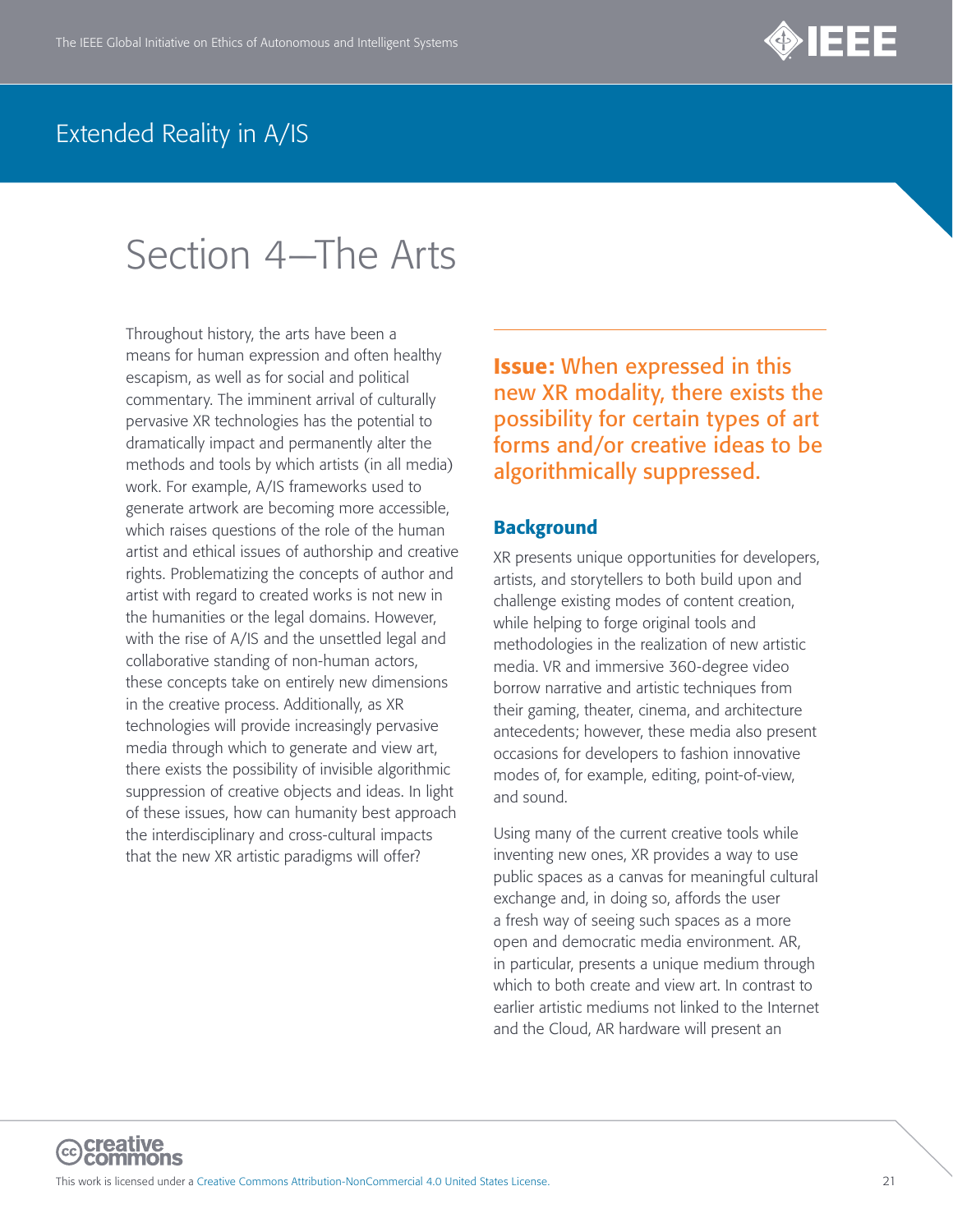

# <span id="page-20-0"></span>Section 4—The Arts

Throughout history, the arts have been a means for human expression and often healthy escapism, as well as for social and political commentary. The imminent arrival of culturally pervasive XR technologies has the potential to dramatically impact and permanently alter the methods and tools by which artists (in all media) work. For example, A/IS frameworks used to generate artwork are becoming more accessible, which raises questions of the role of the human artist and ethical issues of authorship and creative rights. Problematizing the concepts of author and artist with regard to created works is not new in the humanities or the legal domains. However, with the rise of A/IS and the unsettled legal and collaborative standing of non-human actors, these concepts take on entirely new dimensions in the creative process. Additionally, as XR technologies will provide increasingly pervasive media through which to generate and view art, there exists the possibility of invisible algorithmic suppression of creative objects and ideas. In light of these issues, how can humanity best approach the interdisciplinary and cross-cultural impacts that the new XR artistic paradigms will offer?

Issue: When expressed in this new XR modality, there exists the possibility for certain types of art forms and/or creative ideas to be algorithmically suppressed.

#### **Background**

XR presents unique opportunities for developers, artists, and storytellers to both build upon and challenge existing modes of content creation, while helping to forge original tools and methodologies in the realization of new artistic media. VR and immersive 360-degree video borrow narrative and artistic techniques from their gaming, theater, cinema, and architecture antecedents; however, these media also present occasions for developers to fashion innovative modes of, for example, editing, point-of-view, and sound.

Using many of the current creative tools while inventing new ones, XR provides a way to use public spaces as a canvas for meaningful cultural exchange and, in doing so, affords the user a fresh way of seeing such spaces as a more open and democratic media environment. AR, in particular, presents a unique medium through which to both create and view art. In contrast to earlier artistic mediums not linked to the Internet and the Cloud, AR hardware will present an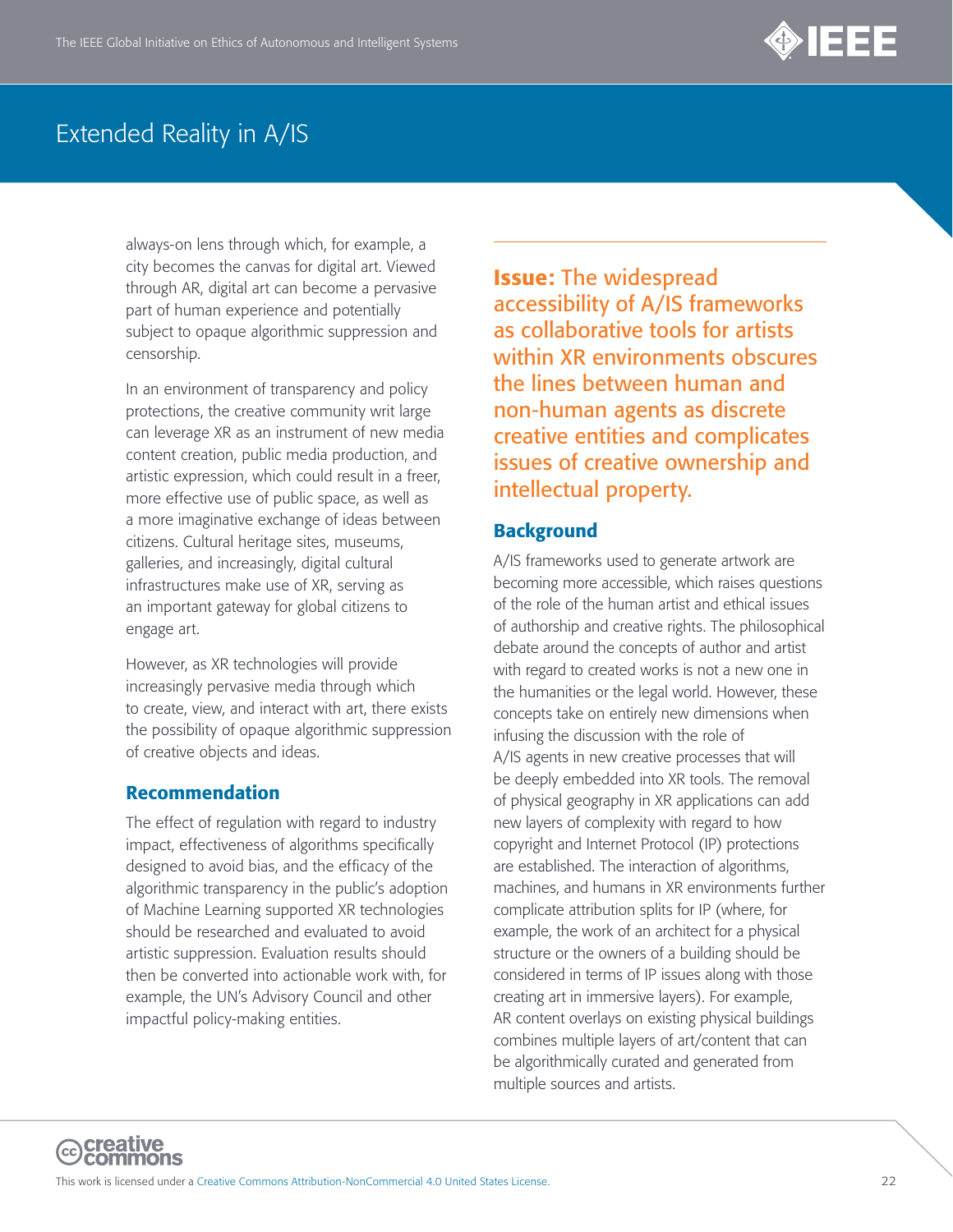

always-on lens through which, for example, a city becomes the canvas for digital art. Viewed through AR, digital art can become a pervasive part of human experience and potentially subject to opaque algorithmic suppression and censorship.

In an environment of transparency and policy protections, the creative community writ large can leverage XR as an instrument of new media content creation, public media production, and artistic expression, which could result in a freer, more effective use of public space, as well as a more imaginative exchange of ideas between citizens. Cultural heritage sites, museums, galleries, and increasingly, digital cultural infrastructures make use of XR, serving as an important gateway for global citizens to engage art.

However, as XR technologies will provide increasingly pervasive media through which to create, view, and interact with art, there exists the possibility of opaque algorithmic suppression of creative objects and ideas.

#### Recommendation

The effect of regulation with regard to industry impact, effectiveness of algorithms specifically designed to avoid bias, and the efficacy of the algorithmic transparency in the public's adoption of Machine Learning supported XR technologies should be researched and evaluated to avoid artistic suppression. Evaluation results should then be converted into actionable work with, for example, the UN's Advisory Council and other impactful policy-making entities.

Issue: The widespread accessibility of A/IS frameworks as collaborative tools for artists within XR environments obscures the lines between human and non-human agents as discrete creative entities and complicates issues of creative ownership and intellectual property.

#### **Background**

A/IS frameworks used to generate artwork are becoming more accessible, which raises questions of the role of the human artist and ethical issues of authorship and creative rights. The philosophical debate around the concepts of author and artist with regard to created works is not a new one in the humanities or the legal world. However, these concepts take on entirely new dimensions when infusing the discussion with the role of A/IS agents in new creative processes that will be deeply embedded into XR tools. The removal of physical geography in XR applications can add new layers of complexity with regard to how copyright and Internet Protocol (IP) protections are established. The interaction of algorithms, machines, and humans in XR environments further complicate attribution splits for IP (where, for example, the work of an architect for a physical structure or the owners of a building should be considered in terms of IP issues along with those creating art in immersive layers). For example, AR content overlays on existing physical buildings combines multiple layers of art/content that can be algorithmically curated and generated from multiple sources and artists.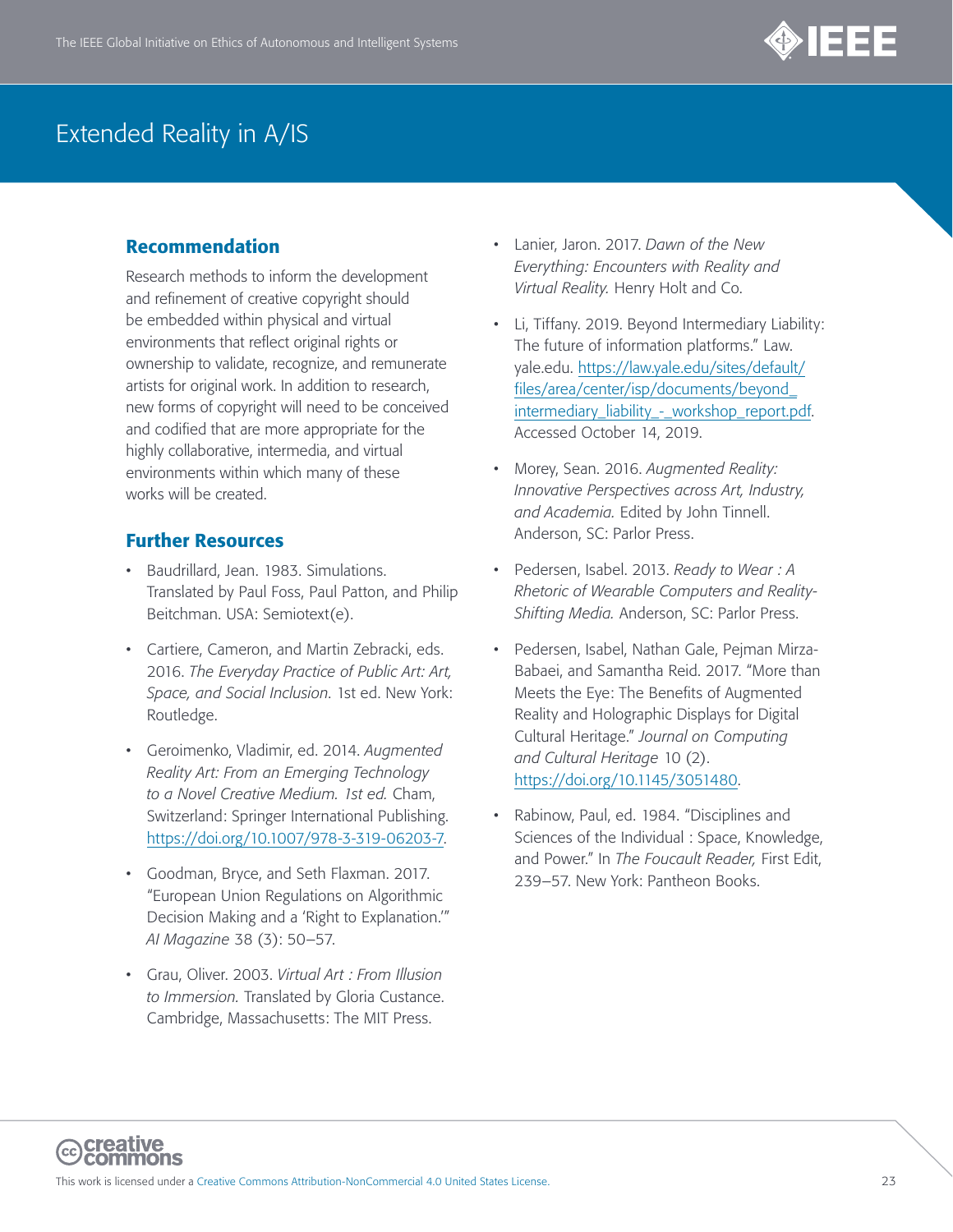

#### Recommendation

Research methods to inform the development and refinement of creative copyright should be embedded within physical and virtual environments that reflect original rights or ownership to validate, recognize, and remunerate artists for original work. In addition to research, new forms of copyright will need to be conceived and codified that are more appropriate for the highly collaborative, intermedia, and virtual environments within which many of these works will be created.

- Baudrillard, Jean. 1983. Simulations. Translated by Paul Foss, Paul Patton, and Philip Beitchman. USA: Semiotext(e).
- Cartiere, Cameron, and Martin Zebracki, eds. 2016. *The Everyday Practice of Public Art: Art, Space, and Social Inclusion*. 1st ed. New York: Routledge.
- Geroimenko, Vladimir, ed. 2014. *Augmented Reality Art: From an Emerging Technology to a Novel Creative Medium. 1st ed.* Cham, Switzerland: Springer International Publishing. <https://doi.org/10.1007/978-3-319-06203-7>.
- Goodman, Bryce, and Seth Flaxman. 2017. "European Union Regulations on Algorithmic Decision Making and a 'Right to Explanation.'" *AI Magazine* 38 (3): 50–57.
- Grau, Oliver. 2003. *Virtual Art : From Illusion to Immersion.* Translated by Gloria Custance. Cambridge, Massachusetts: The MIT Press.
- Lanier, Jaron. 2017. *Dawn of the New Everything: Encounters with Reality and Virtual Reality.* Henry Holt and Co.
- Li, Tiffany. 2019. Beyond Intermediary Liability: The future of information platforms." Law. yale.edu. [https://law.yale.edu/sites/default/](https://law.yale.edu/sites/default/files/area/center/isp/documents/beyond_intermediary_liability_-_workshop_report.pdf) [files/area/center/isp/documents/beyond\\_](https://law.yale.edu/sites/default/files/area/center/isp/documents/beyond_intermediary_liability_-_workshop_report.pdf) [intermediary\\_liability\\_-\\_workshop\\_report.pdf](https://law.yale.edu/sites/default/files/area/center/isp/documents/beyond_intermediary_liability_-_workshop_report.pdf). Accessed October 14, 2019.
- Morey, Sean. 2016. *Augmented Reality: Innovative Perspectives across Art, Industry, and Academia.* Edited by John Tinnell. Anderson, SC: Parlor Press.
- Pedersen, Isabel. 2013. *Ready to Wear : A Rhetoric of Wearable Computers and Reality-Shifting Media.* Anderson, SC: Parlor Press.
- Pedersen, Isabel, Nathan Gale, Pejman Mirza-Babaei, and Samantha Reid. 2017. "More than Meets the Eye: The Benefits of Augmented Reality and Holographic Displays for Digital Cultural Heritage." *Journal on Computing and Cultural Heritage* 10 (2). <https://doi.org/10.1145/3051480>.
- Rabinow, Paul, ed. 1984. "Disciplines and Sciences of the Individual : Space, Knowledge, and Power." In *The Foucault Reader,* First Edit, 239–57. New York: Pantheon Books.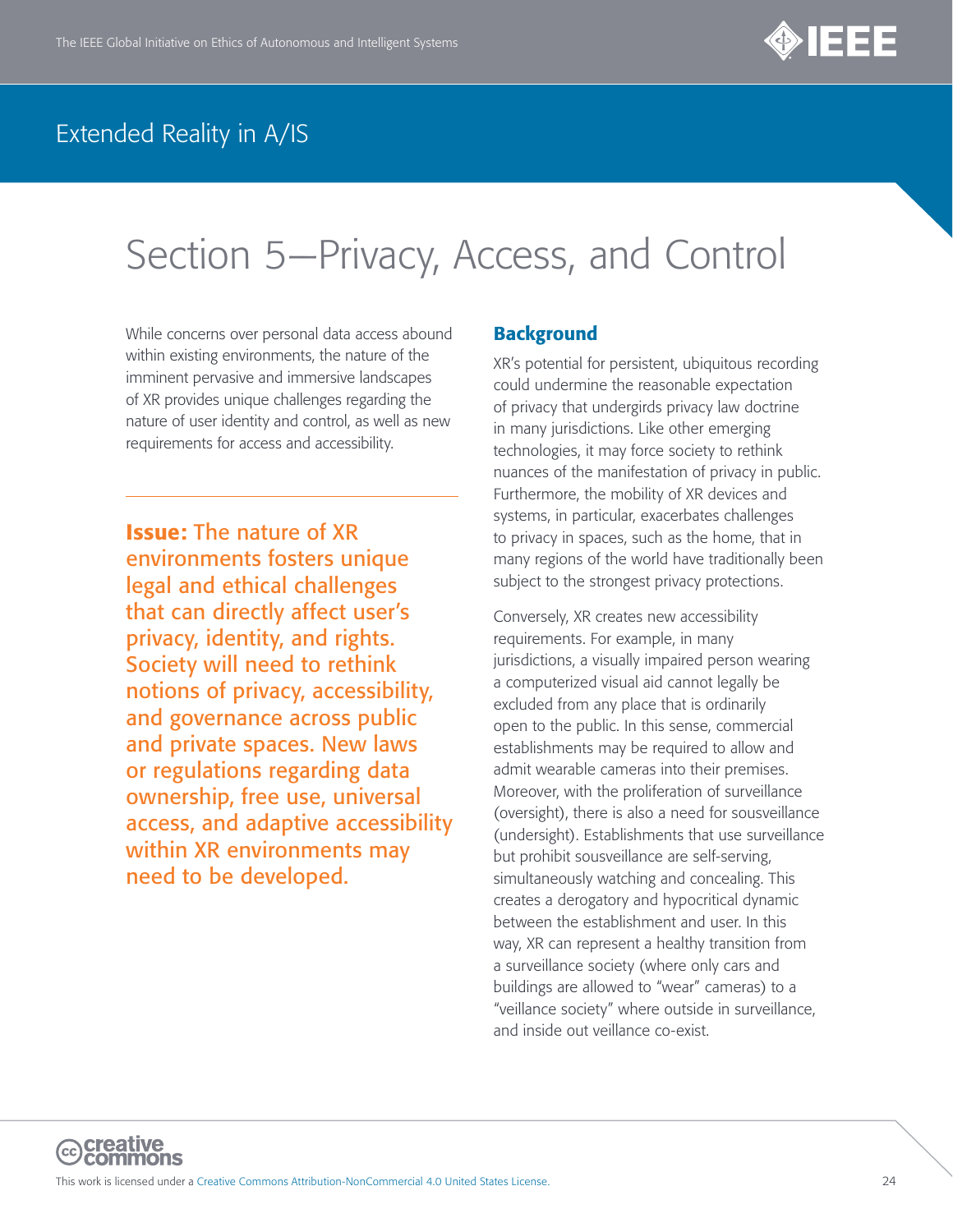

# <span id="page-23-0"></span>Section 5—Privacy, Access, and Control

While concerns over personal data access abound within existing environments, the nature of the imminent pervasive and immersive landscapes of XR provides unique challenges regarding the nature of user identity and control, as well as new requirements for access and accessibility.

Issue: The nature of XR environments fosters unique legal and ethical challenges that can directly affect user's privacy, identity, and rights. Society will need to rethink notions of privacy, accessibility, and governance across public and private spaces. New laws or regulations regarding data ownership, free use, universal access, and adaptive accessibility within XR environments may need to be developed.

#### **Background**

XR's potential for persistent, ubiquitous recording could undermine the reasonable expectation of privacy that undergirds privacy law doctrine in many jurisdictions. Like other emerging technologies, it may force society to rethink nuances of the manifestation of privacy in public. Furthermore, the mobility of XR devices and systems, in particular, exacerbates challenges to privacy in spaces, such as the home, that in many regions of the world have traditionally been subject to the strongest privacy protections.

Conversely, XR creates new accessibility requirements. For example, in many jurisdictions, a visually impaired person wearing a computerized visual aid cannot legally be excluded from any place that is ordinarily open to the public. In this sense, commercial establishments may be required to allow and admit wearable cameras into their premises. Moreover, with the proliferation of surveillance (oversight), there is also a need for sousveillance (undersight). Establishments that use surveillance but prohibit sousveillance are self-serving, simultaneously watching and concealing. This creates a derogatory and hypocritical dynamic between the establishment and user. In this way, XR can represent a healthy transition from a surveillance society (where only cars and buildings are allowed to "wear" cameras) to a "veillance society" where outside in surveillance, and inside out veillance co-exist.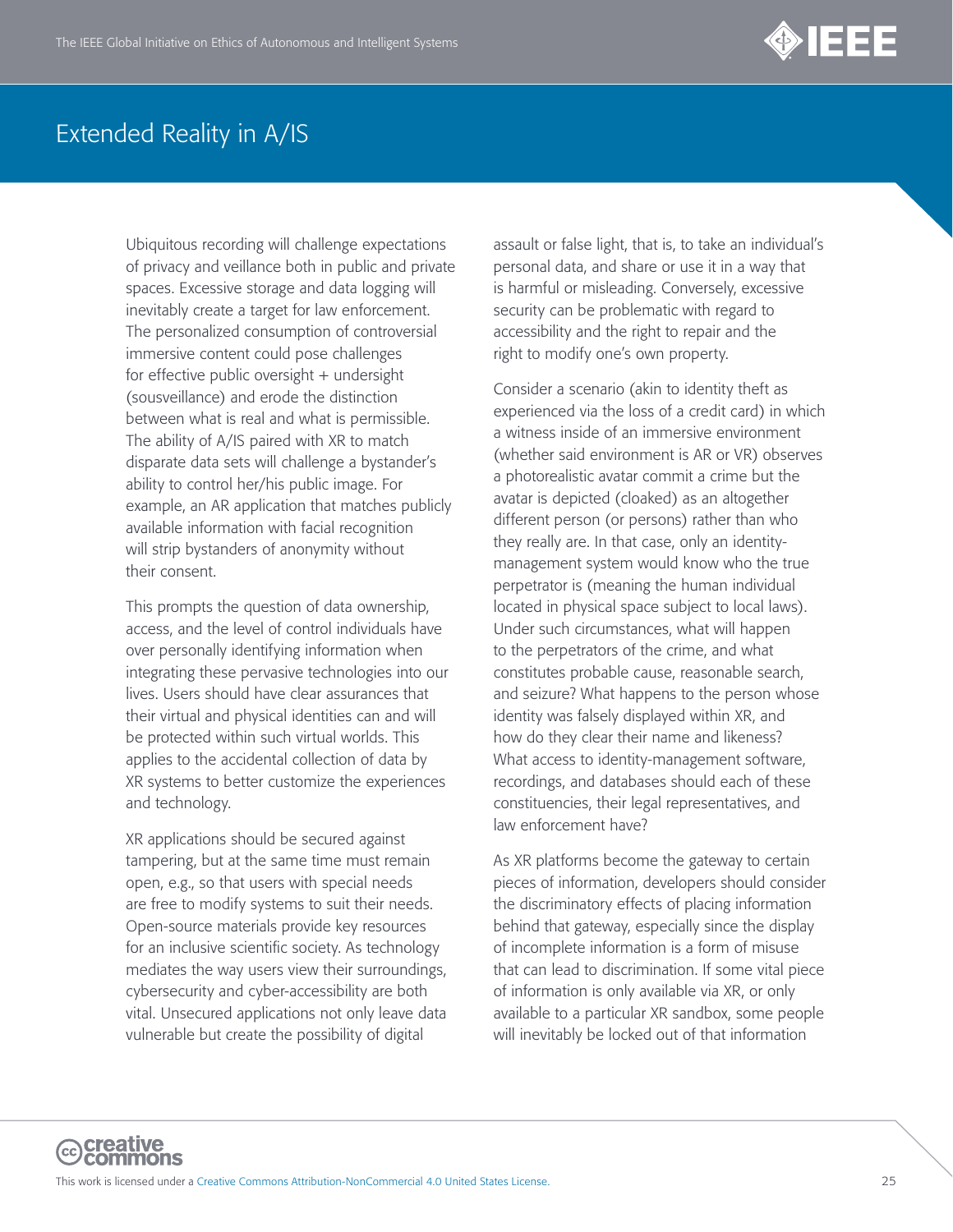

Ubiquitous recording will challenge expectations of privacy and veillance both in public and private spaces. Excessive storage and data logging will inevitably create a target for law enforcement. The personalized consumption of controversial immersive content could pose challenges for effective public oversight + undersight (sousveillance) and erode the distinction between what is real and what is permissible. The ability of A/IS paired with XR to match disparate data sets will challenge a bystander's ability to control her/his public image. For example, an AR application that matches publicly available information with facial recognition will strip bystanders of anonymity without their consent.

This prompts the question of data ownership, access, and the level of control individuals have over personally identifying information when integrating these pervasive technologies into our lives. Users should have clear assurances that their virtual and physical identities can and will be protected within such virtual worlds. This applies to the accidental collection of data by XR systems to better customize the experiences and technology.

XR applications should be secured against tampering, but at the same time must remain open, e.g., so that users with special needs are free to modify systems to suit their needs. Open-source materials provide key resources for an inclusive scientific society. As technology mediates the way users view their surroundings, cybersecurity and cyber-accessibility are both vital. Unsecured applications not only leave data vulnerable but create the possibility of digital

assault or false light, that is, to take an individual's personal data, and share or use it in a way that is harmful or misleading. Conversely, excessive security can be problematic with regard to accessibility and the right to repair and the right to modify one's own property.

Consider a scenario (akin to identity theft as experienced via the loss of a credit card) in which a witness inside of an immersive environment (whether said environment is AR or VR) observes a photorealistic avatar commit a crime but the avatar is depicted (cloaked) as an altogether different person (or persons) rather than who they really are. In that case, only an identitymanagement system would know who the true perpetrator is (meaning the human individual located in physical space subject to local laws). Under such circumstances, what will happen to the perpetrators of the crime, and what constitutes probable cause, reasonable search, and seizure? What happens to the person whose identity was falsely displayed within XR, and how do they clear their name and likeness? What access to identity-management software, recordings, and databases should each of these constituencies, their legal representatives, and law enforcement have?

As XR platforms become the gateway to certain pieces of information, developers should consider the discriminatory effects of placing information behind that gateway, especially since the display of incomplete information is a form of misuse that can lead to discrimination. If some vital piece of information is only available via XR, or only available to a particular XR sandbox, some people will inevitably be locked out of that information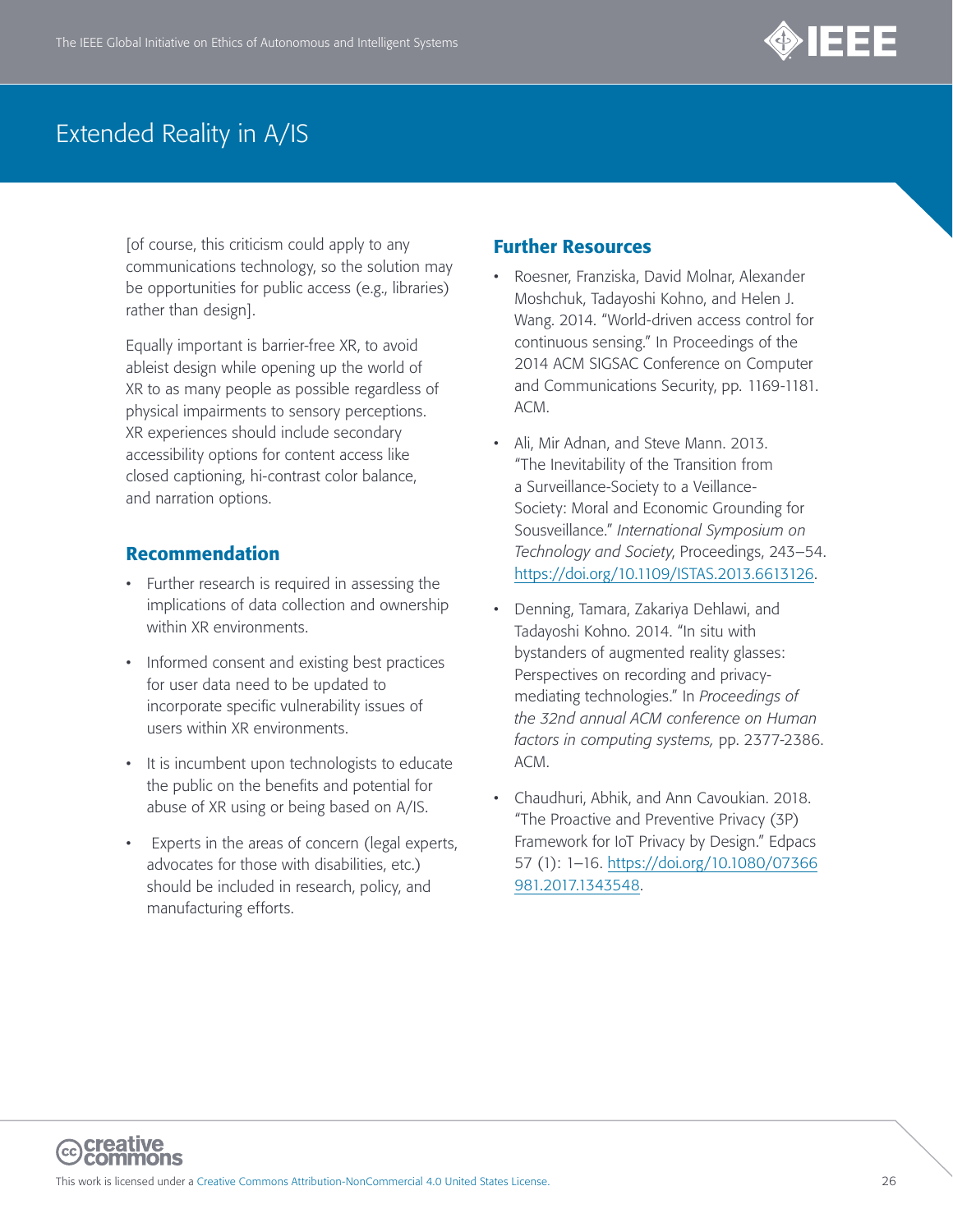

[of course, this criticism could apply to any communications technology, so the solution may be opportunities for public access (e.g., libraries) rather than design].

Equally important is barrier-free XR, to avoid ableist design while opening up the world of XR to as many people as possible regardless of physical impairments to sensory perceptions. XR experiences should include secondary accessibility options for content access like closed captioning, hi-contrast color balance, and narration options.

#### Recommendation

- Further research is required in assessing the implications of data collection and ownership within XR environments.
- Informed consent and existing best practices for user data need to be updated to incorporate specific vulnerability issues of users within XR environments.
- It is incumbent upon technologists to educate the public on the benefits and potential for abuse of XR using or being based on A/IS.
- Experts in the areas of concern (legal experts, advocates for those with disabilities, etc.) should be included in research, policy, and manufacturing efforts.

- Roesner, Franziska, David Molnar, Alexander Moshchuk, Tadayoshi Kohno, and Helen J. Wang. 2014. "World-driven access control for continuous sensing." In Proceedings of the 2014 ACM SIGSAC Conference on Computer and Communications Security, pp. 1169-1181. ACM.
- Ali, Mir Adnan, and Steve Mann. 2013. "The Inevitability of the Transition from a Surveillance-Society to a Veillance-Society: Moral and Economic Grounding for Sousveillance." *International Symposium on Technology and Society*, Proceedings, 243–54. <https://doi.org/10.1109/ISTAS.2013.6613126>.
- Denning, Tamara, Zakariya Dehlawi, and Tadayoshi Kohno. 2014. "In situ with bystanders of augmented reality glasses: Perspectives on recording and privacymediating technologies." In *Proceedings of the 32nd annual ACM conference on Human factors in computing systems,* pp. 2377-2386. ACM.
- Chaudhuri, Abhik, and Ann Cavoukian. 2018. "The Proactive and Preventive Privacy (3P) Framework for IoT Privacy by Design." Edpacs 57 (1): 1–16. [https://doi.org/10.1080/07366](https://doi.org/10.1080/07366981.2017.1343548) [981.2017.1343548](https://doi.org/10.1080/07366981.2017.1343548).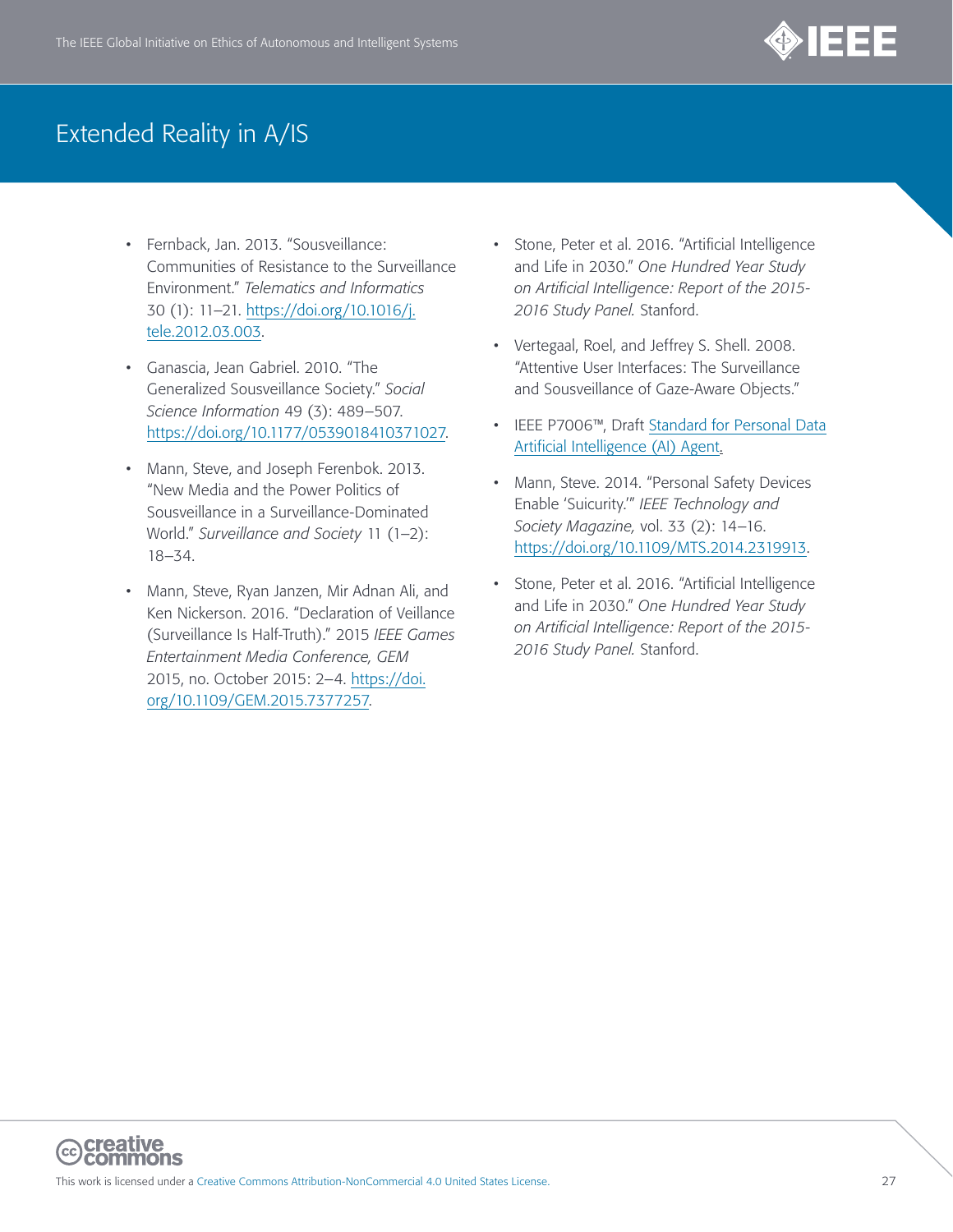

- Fernback, Jan. 2013. "Sousveillance: Communities of Resistance to the Surveillance Environment." *Telematics and Informatics* 30 (1): 11–21. [https://doi.org/10.1016/j.](https://doi.org/10.1016/j.tele.2012.03.003) [tele.2012.03.003](https://doi.org/10.1016/j.tele.2012.03.003).
- Ganascia, Jean Gabriel. 2010. "The Generalized Sousveillance Society." *Social Science Information* 49 (3): 489–507. <https://doi.org/10.1177/0539018410371027>.
- Mann, Steve, and Joseph Ferenbok. 2013. "New Media and the Power Politics of Sousveillance in a Surveillance-Dominated World." *Surveillance and Society* 11 (1–2): 18–34.
- Mann, Steve, Ryan Janzen, Mir Adnan Ali, and Ken Nickerson. 2016. "Declaration of Veillance (Surveillance Is Half-Truth)." 2015 *IEEE Games Entertainment Media Conference, GEM* 2015, no. October 2015: 2–4. [https://doi.](https://doi.org/10.1109/GEM.2015.7377257) [org/10.1109/GEM.2015.7377257](https://doi.org/10.1109/GEM.2015.7377257).
- Stone, Peter et al. 2016. "Artificial Intelligence and Life in 2030." *One Hundred Year Study on Artificial Intelligence: Report of the 2015- 2016 Study Panel.* Stanford.
- Vertegaal, Roel, and Jeffrey S. Shell. 2008. "Attentive User Interfaces: The Surveillance and Sousveillance of Gaze-Aware Objects."
- IEEE P7006™, Draft [Standard for Personal Data](https://standards.ieee.org/develop/project/7006.html) [Artificial Intelligence \(AI\) Agent.](https://standards.ieee.org/develop/project/7006.html)
- Mann, Steve. 2014. "Personal Safety Devices Enable 'Suicurity.'" *IEEE Technology and Society Magazine,* vol. 33 (2): 14–16. <https://doi.org/10.1109/MTS.2014.2319913>.
- Stone, Peter et al. 2016. "Artificial Intelligence and Life in 2030." *One Hundred Year Study on Artificial Intelligence: Report of the 2015- 2016 Study Panel.* Stanford.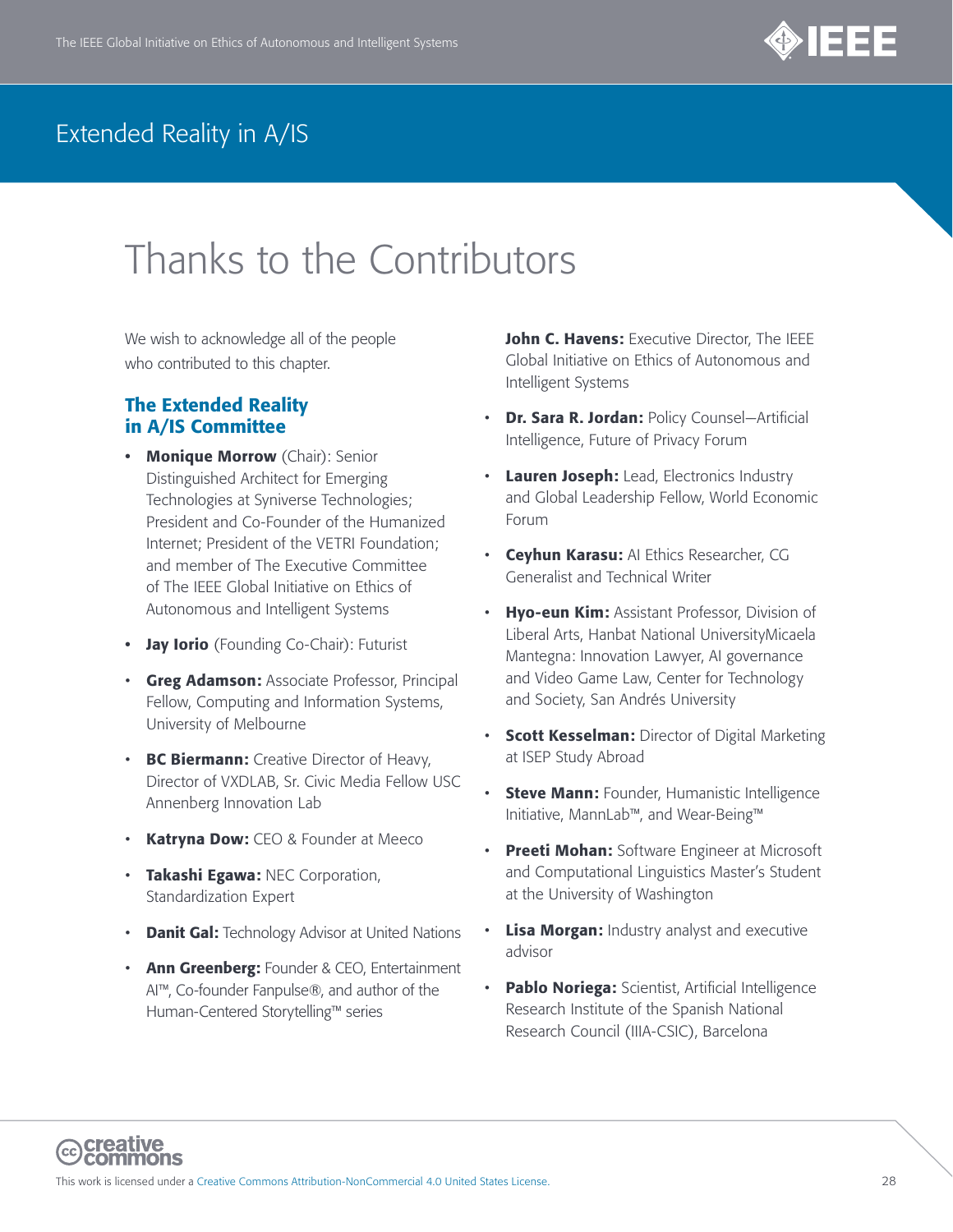

# Thanks to the Contributors

We wish to acknowledge all of the people who contributed to this chapter.

#### The Extended Reality in A/IS Committee

- Monique Morrow (Chair): Senior Distinguished Architect for Emerging Technologies at Syniverse Technologies; President and Co-Founder of the Humanized Internet; President of the VETRI Foundation; and member of The Executive Committee of The IEEE Global Initiative on Ethics of Autonomous and Intelligent Systems
- **Jay Iorio** (Founding Co-Chair): Futurist
- **Greg Adamson: Associate Professor, Principal** Fellow, Computing and Information Systems, University of Melbourne
- BC Biermann: Creative Director of Heavy, Director of VXDLAB, Sr. Civic Media Fellow USC Annenberg Innovation Lab
- Katryna Dow: CEO & Founder at Meeco
- Takashi Egawa: NEC Corporation, Standardization Expert
- Danit Gal: Technology Advisor at United Nations
- Ann Greenberg: Founder & CEO, Entertainment AI™, Co-founder Fanpulse®, and author of the Human-Centered Storytelling™ series

John C. Havens: Executive Director, The IEEE Global Initiative on Ethics of Autonomous and Intelligent Systems

- Dr. Sara R. Jordan: Policy Counsel-Artificial Intelligence, Future of Privacy Forum
- Lauren Joseph: Lead, Electronics Industry and Global Leadership Fellow, World Economic Forum
- Ceyhun Karasu: AI Ethics Researcher, CG Generalist and Technical Writer
- **Hyo-eun Kim:** Assistant Professor, Division of Liberal Arts, Hanbat National UniversityMicaela Mantegna: Innovation Lawyer, AI governance and Video Game Law, Center for Technology and Society, San Andrés University
- Scott Kesselman: Director of Digital Marketing at ISEP Study Abroad
- Steve Mann: Founder, Humanistic Intelligence Initiative, MannLab™, and Wear-Being™
- Preeti Mohan: Software Engineer at Microsoft and Computational Linguistics Master's Student at the University of Washington
- Lisa Morgan: Industry analyst and executive advisor
- Pablo Noriega: Scientist, Artificial Intelligence Research Institute of the Spanish National Research Council (IIIA-CSIC), Barcelona